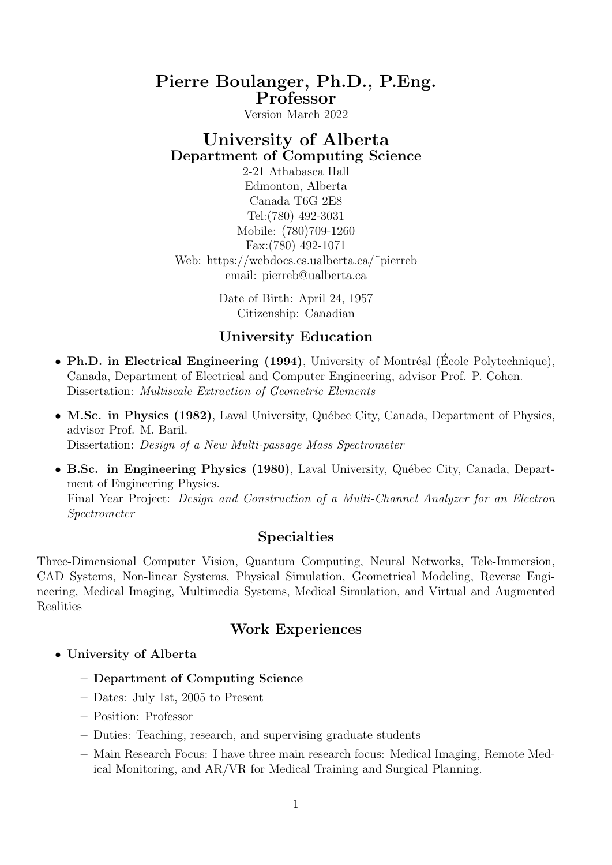# Pierre Boulanger, Ph.D., P.Eng. Professor

Version March 2022

# University of Alberta Department of Computing Science

2-21 Athabasca Hall Edmonton, Alberta Canada T6G 2E8 Tel:(780) 492-3031 Mobile: (780)709-1260 Fax:(780) 492-1071 Web: https://webdocs.cs.ualberta.ca/˜pierreb email: pierreb@ualberta.ca

> Date of Birth: April 24, 1957 Citizenship: Canadian

### University Education

- Ph.D. in Electrical Engineering (1994), University of Montréal (École Polytechnique), Canada, Department of Electrical and Computer Engineering, advisor Prof. P. Cohen. Dissertation: Multiscale Extraction of Geometric Elements
- M.Sc. in Physics  $(1982)$ , Laval University, Québec City, Canada, Department of Physics, advisor Prof. M. Baril. Dissertation: Design of a New Multi-passage Mass Spectrometer
- B.Sc. in Engineering Physics (1980), Laval University, Québec City, Canada, Department of Engineering Physics. Final Year Project: Design and Construction of a Multi-Channel Analyzer for an Electron Spectrometer

# Specialties

Three-Dimensional Computer Vision, Quantum Computing, Neural Networks, Tele-Immersion, CAD Systems, Non-linear Systems, Physical Simulation, Geometrical Modeling, Reverse Engineering, Medical Imaging, Multimedia Systems, Medical Simulation, and Virtual and Augmented Realities

# Work Experiences

- University of Alberta
	- Department of Computing Science
	- Dates: July 1st, 2005 to Present
	- Position: Professor
	- Duties: Teaching, research, and supervising graduate students
	- Main Research Focus: I have three main research focus: Medical Imaging, Remote Medical Monitoring, and AR/VR for Medical Training and Surgical Planning.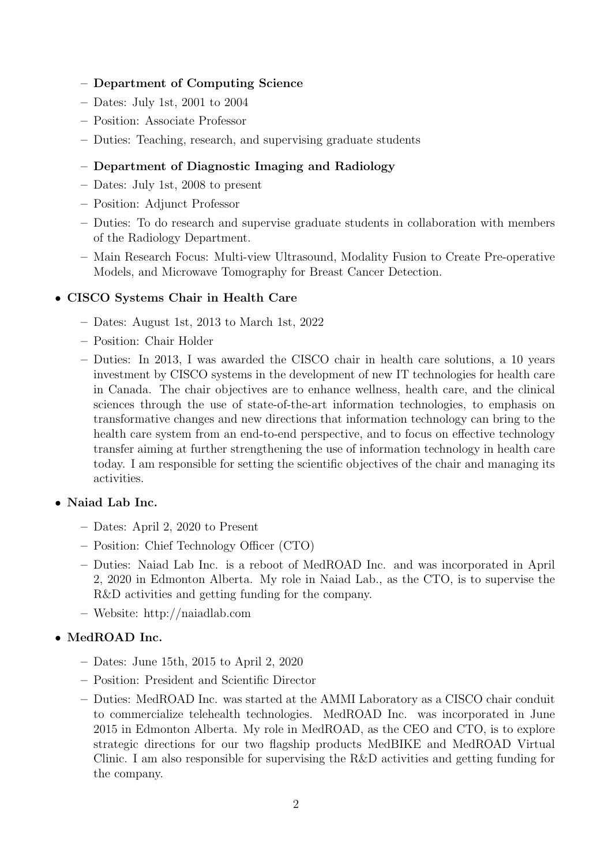#### – Department of Computing Science

- Dates: July 1st, 2001 to 2004
- Position: Associate Professor
- Duties: Teaching, research, and supervising graduate students

### – Department of Diagnostic Imaging and Radiology

- Dates: July 1st, 2008 to present
- Position: Adjunct Professor
- Duties: To do research and supervise graduate students in collaboration with members of the Radiology Department.
- Main Research Focus: Multi-view Ultrasound, Modality Fusion to Create Pre-operative Models, and Microwave Tomography for Breast Cancer Detection.

#### • CISCO Systems Chair in Health Care

- Dates: August 1st, 2013 to March 1st, 2022
- Position: Chair Holder
- Duties: In 2013, I was awarded the CISCO chair in health care solutions, a 10 years investment by CISCO systems in the development of new IT technologies for health care in Canada. The chair objectives are to enhance wellness, health care, and the clinical sciences through the use of state-of-the-art information technologies, to emphasis on transformative changes and new directions that information technology can bring to the health care system from an end-to-end perspective, and to focus on effective technology transfer aiming at further strengthening the use of information technology in health care today. I am responsible for setting the scientific objectives of the chair and managing its activities.

#### • Naiad Lab Inc.

- Dates: April 2, 2020 to Present
- Position: Chief Technology Officer (CTO)
- Duties: Naiad Lab Inc. is a reboot of MedROAD Inc. and was incorporated in April 2, 2020 in Edmonton Alberta. My role in Naiad Lab., as the CTO, is to supervise the R&D activities and getting funding for the company.
- Website: http://naiadlab.com

### • MedROAD Inc.

- Dates: June 15th, 2015 to April 2, 2020
- Position: President and Scientific Director
- Duties: MedROAD Inc. was started at the AMMI Laboratory as a CISCO chair conduit to commercialize telehealth technologies. MedROAD Inc. was incorporated in June 2015 in Edmonton Alberta. My role in MedROAD, as the CEO and CTO, is to explore strategic directions for our two flagship products MedBIKE and MedROAD Virtual Clinic. I am also responsible for supervising the R&D activities and getting funding for the company.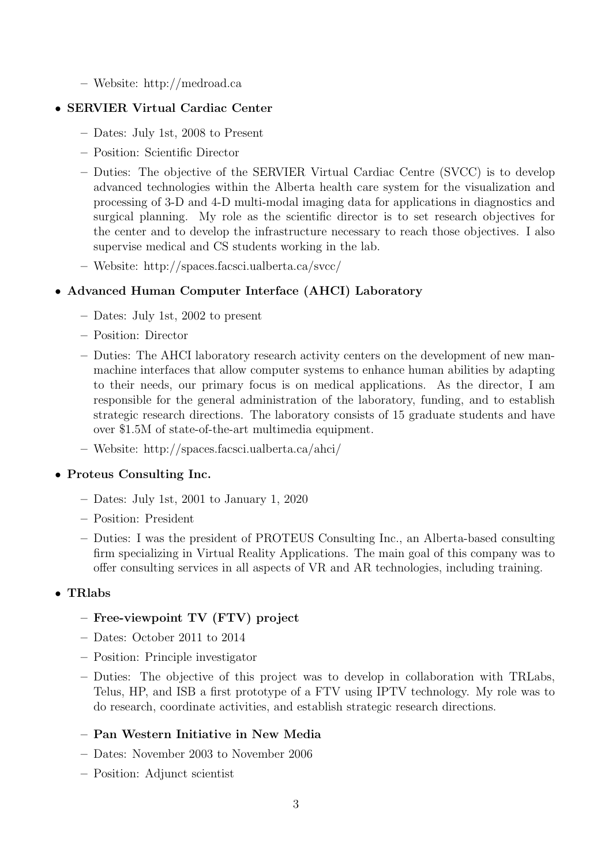– Website: http://medroad.ca

### • SERVIER Virtual Cardiac Center

- Dates: July 1st, 2008 to Present
- Position: Scientific Director
- Duties: The objective of the SERVIER Virtual Cardiac Centre (SVCC) is to develop advanced technologies within the Alberta health care system for the visualization and processing of 3-D and 4-D multi-modal imaging data for applications in diagnostics and surgical planning. My role as the scientific director is to set research objectives for the center and to develop the infrastructure necessary to reach those objectives. I also supervise medical and CS students working in the lab.
- Website: http://spaces.facsci.ualberta.ca/svcc/

### • Advanced Human Computer Interface (AHCI) Laboratory

- Dates: July 1st, 2002 to present
- Position: Director
- Duties: The AHCI laboratory research activity centers on the development of new manmachine interfaces that allow computer systems to enhance human abilities by adapting to their needs, our primary focus is on medical applications. As the director, I am responsible for the general administration of the laboratory, funding, and to establish strategic research directions. The laboratory consists of 15 graduate students and have over \$1.5M of state-of-the-art multimedia equipment.
- Website: http://spaces.facsci.ualberta.ca/ahci/

### • Proteus Consulting Inc.

- Dates: July 1st, 2001 to January 1, 2020
- Position: President
- Duties: I was the president of PROTEUS Consulting Inc., an Alberta-based consulting firm specializing in Virtual Reality Applications. The main goal of this company was to offer consulting services in all aspects of VR and AR technologies, including training.

### • TRlabs

### – Free-viewpoint TV (FTV) project

- Dates: October 2011 to 2014
- Position: Principle investigator
- Duties: The objective of this project was to develop in collaboration with TRLabs, Telus, HP, and ISB a first prototype of a FTV using IPTV technology. My role was to do research, coordinate activities, and establish strategic research directions.
- Pan Western Initiative in New Media
- Dates: November 2003 to November 2006
- Position: Adjunct scientist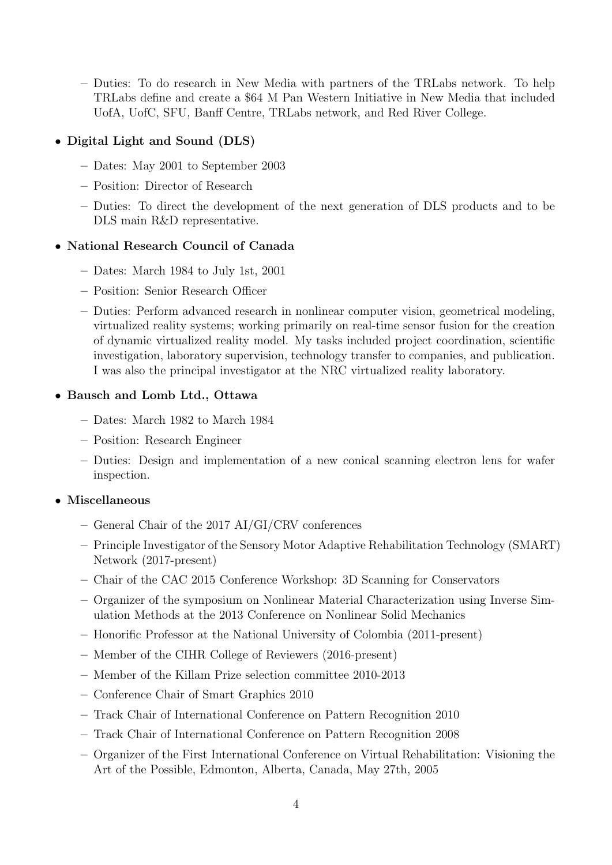– Duties: To do research in New Media with partners of the TRLabs network. To help TRLabs define and create a \$64 M Pan Western Initiative in New Media that included UofA, UofC, SFU, Banff Centre, TRLabs network, and Red River College.

### • Digital Light and Sound (DLS)

- Dates: May 2001 to September 2003
- Position: Director of Research
- Duties: To direct the development of the next generation of DLS products and to be DLS main R&D representative.

#### • National Research Council of Canada

- Dates: March 1984 to July 1st, 2001
- Position: Senior Research Officer
- Duties: Perform advanced research in nonlinear computer vision, geometrical modeling, virtualized reality systems; working primarily on real-time sensor fusion for the creation of dynamic virtualized reality model. My tasks included project coordination, scientific investigation, laboratory supervision, technology transfer to companies, and publication. I was also the principal investigator at the NRC virtualized reality laboratory.

#### • Bausch and Lomb Ltd., Ottawa

- Dates: March 1982 to March 1984
- Position: Research Engineer
- Duties: Design and implementation of a new conical scanning electron lens for wafer inspection.

### • Miscellaneous

- General Chair of the 2017 AI/GI/CRV conferences
- Principle Investigator of the Sensory Motor Adaptive Rehabilitation Technology (SMART) Network (2017-present)
- Chair of the CAC 2015 Conference Workshop: 3D Scanning for Conservators
- Organizer of the symposium on Nonlinear Material Characterization using Inverse Simulation Methods at the 2013 Conference on Nonlinear Solid Mechanics
- Honorific Professor at the National University of Colombia (2011-present)
- Member of the CIHR College of Reviewers (2016-present)
- Member of the Killam Prize selection committee 2010-2013
- Conference Chair of Smart Graphics 2010
- Track Chair of International Conference on Pattern Recognition 2010
- Track Chair of International Conference on Pattern Recognition 2008
- Organizer of the First International Conference on Virtual Rehabilitation: Visioning the Art of the Possible, Edmonton, Alberta, Canada, May 27th, 2005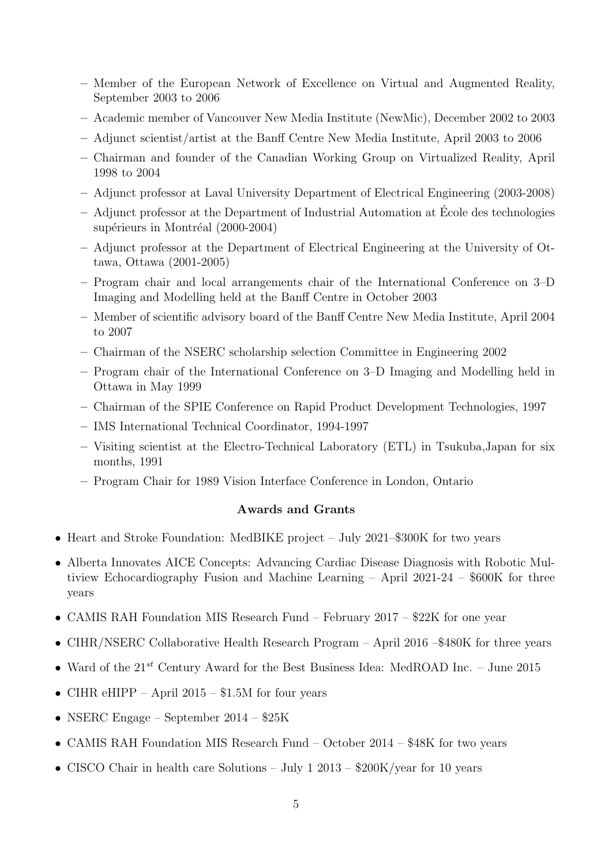- Member of the European Network of Excellence on Virtual and Augmented Reality, September 2003 to 2006
- Academic member of Vancouver New Media Institute (NewMic), December 2002 to 2003
- Adjunct scientist/artist at the Banff Centre New Media Institute, April 2003 to 2006
- Chairman and founder of the Canadian Working Group on Virtualized Reality, April 1998 to 2004
- Adjunct professor at Laval University Department of Electrical Engineering (2003-2008)
- $-$  Adjunct professor at the Department of Industrial Automation at École des technologies supérieurs in Montréal (2000-2004)
- Adjunct professor at the Department of Electrical Engineering at the University of Ottawa, Ottawa (2001-2005)
- Program chair and local arrangements chair of the International Conference on 3–D Imaging and Modelling held at the Banff Centre in October 2003
- Member of scientific advisory board of the Banff Centre New Media Institute, April 2004 to 2007
- Chairman of the NSERC scholarship selection Committee in Engineering 2002
- Program chair of the International Conference on 3–D Imaging and Modelling held in Ottawa in May 1999
- Chairman of the SPIE Conference on Rapid Product Development Technologies, 1997
- IMS International Technical Coordinator, 1994-1997
- Visiting scientist at the Electro-Technical Laboratory (ETL) in Tsukuba,Japan for six months, 1991
- Program Chair for 1989 Vision Interface Conference in London, Ontario

#### Awards and Grants

- Heart and Stroke Foundation: MedBIKE project July 2021–\$300K for two years
- Alberta Innovates AICE Concepts: Advancing Cardiac Disease Diagnosis with Robotic Multiview Echocardiography Fusion and Machine Learning – April 2021-24 – \$600K for three years
- CAMIS RAH Foundation MIS Research Fund February 2017 \$22K for one year
- CIHR/NSERC Collaborative Health Research Program April 2016 –\$480K for three years
- Ward of the  $21^{st}$  Century Award for the Best Business Idea: MedROAD Inc. June 2015
- CIHR eHIPP April  $2015 $1.5M$  for four years
- NSERC Engage September 2014 \$25K
- CAMIS RAH Foundation MIS Research Fund October 2014 \$48K for two years
- CISCO Chair in health care Solutions July 1 2013 \$200K/year for 10 years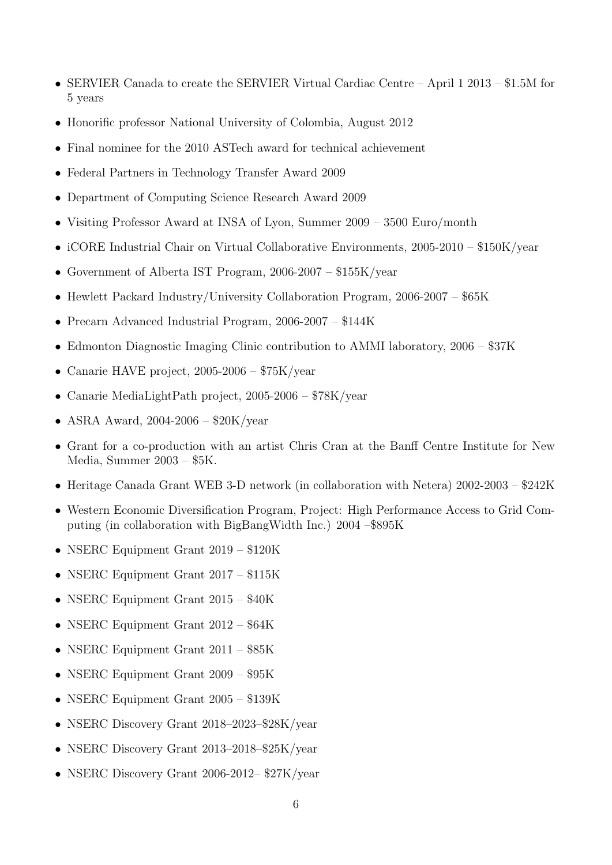- SERVIER Canada to create the SERVIER Virtual Cardiac Centre April 1 2013 \$1.5M for 5 years
- Honorific professor National University of Colombia, August 2012
- Final nominee for the 2010 ASTech award for technical achievement
- Federal Partners in Technology Transfer Award 2009
- Department of Computing Science Research Award 2009
- Visiting Professor Award at INSA of Lyon, Summer 2009 3500 Euro/month
- iCORE Industrial Chair on Virtual Collaborative Environments, 2005-2010 \$150K/year
- Government of Alberta IST Program, 2006-2007 \$155K/year
- Hewlett Packard Industry/University Collaboration Program, 2006-2007 \$65K
- Precarn Advanced Industrial Program, 2006-2007 \$144K
- Edmonton Diagnostic Imaging Clinic contribution to AMMI laboratory, 2006 \$37K
- Canarie HAVE project,  $2005-2006 $75K/year$
- Canarie MediaLightPath project, 2005-2006 \$78K/year
- ASRA Award,  $2004-2006 $20K/year$
- Grant for a co-production with an artist Chris Cran at the Banff Centre Institute for New Media, Summer 2003 – \$5K.
- Heritage Canada Grant WEB 3-D network (in collaboration with Netera) 2002-2003 \$242K
- Western Economic Diversification Program, Project: High Performance Access to Grid Computing (in collaboration with BigBangWidth Inc.) 2004 –\$895K
- NSERC Equipment Grant 2019 \$120K
- NSERC Equipment Grant 2017 \$115K
- NSERC Equipment Grant 2015 \$40K
- NSERC Equipment Grant 2012 \$64K
- NSERC Equipment Grant 2011 \$85K
- NSERC Equipment Grant 2009 \$95K
- NSERC Equipment Grant 2005 \$139K
- NSERC Discovery Grant 2018–2023–\$28K/year
- NSERC Discovery Grant 2013–2018–\$25K/year
- NSERC Discovery Grant 2006-2012– \$27K/year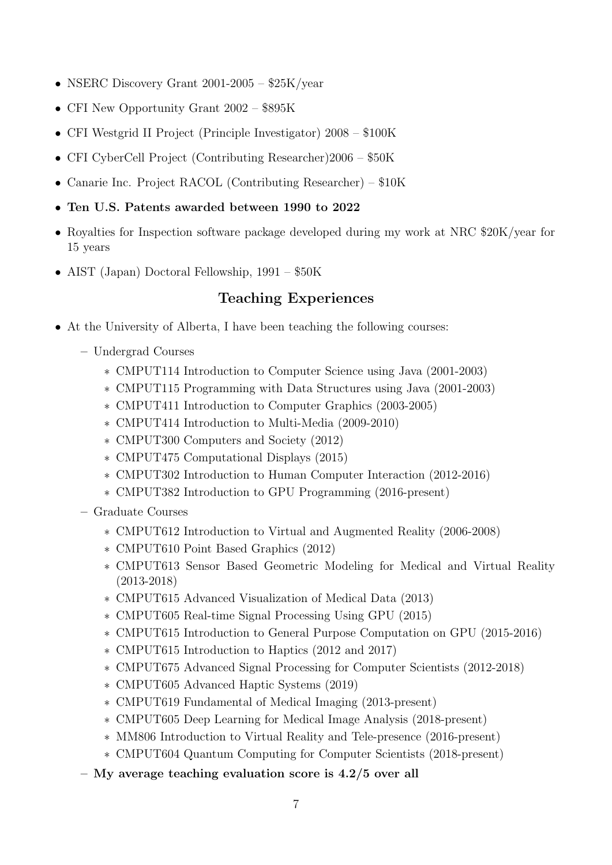- NSERC Discovery Grant 2001-2005 \$25K/year
- CFI New Opportunity Grant 2002 \$895K
- CFI Westgrid II Project (Principle Investigator) 2008 \$100K
- CFI CyberCell Project (Contributing Researcher)2006 \$50K
- Canarie Inc. Project RACOL (Contributing Researcher) \$10K
- Ten U.S. Patents awarded between 1990 to 2022
- Royalties for Inspection software package developed during my work at NRC \$20K/year for 15 years
- AIST (Japan) Doctoral Fellowship, 1991 \$50K

# Teaching Experiences

- At the University of Alberta, I have been teaching the following courses:
	- Undergrad Courses
		- ∗ CMPUT114 Introduction to Computer Science using Java (2001-2003)
		- ∗ CMPUT115 Programming with Data Structures using Java (2001-2003)
		- ∗ CMPUT411 Introduction to Computer Graphics (2003-2005)
		- ∗ CMPUT414 Introduction to Multi-Media (2009-2010)
		- ∗ CMPUT300 Computers and Society (2012)
		- ∗ CMPUT475 Computational Displays (2015)
		- ∗ CMPUT302 Introduction to Human Computer Interaction (2012-2016)
		- ∗ CMPUT382 Introduction to GPU Programming (2016-present)

– Graduate Courses

- ∗ CMPUT612 Introduction to Virtual and Augmented Reality (2006-2008)
- ∗ CMPUT610 Point Based Graphics (2012)
- ∗ CMPUT613 Sensor Based Geometric Modeling for Medical and Virtual Reality (2013-2018)
- ∗ CMPUT615 Advanced Visualization of Medical Data (2013)
- ∗ CMPUT605 Real-time Signal Processing Using GPU (2015)
- ∗ CMPUT615 Introduction to General Purpose Computation on GPU (2015-2016)
- ∗ CMPUT615 Introduction to Haptics (2012 and 2017)
- ∗ CMPUT675 Advanced Signal Processing for Computer Scientists (2012-2018)
- ∗ CMPUT605 Advanced Haptic Systems (2019)
- ∗ CMPUT619 Fundamental of Medical Imaging (2013-present)
- ∗ CMPUT605 Deep Learning for Medical Image Analysis (2018-present)
- ∗ MM806 Introduction to Virtual Reality and Tele-presence (2016-present)
- ∗ CMPUT604 Quantum Computing for Computer Scientists (2018-present)
- My average teaching evaluation score is 4.2/5 over all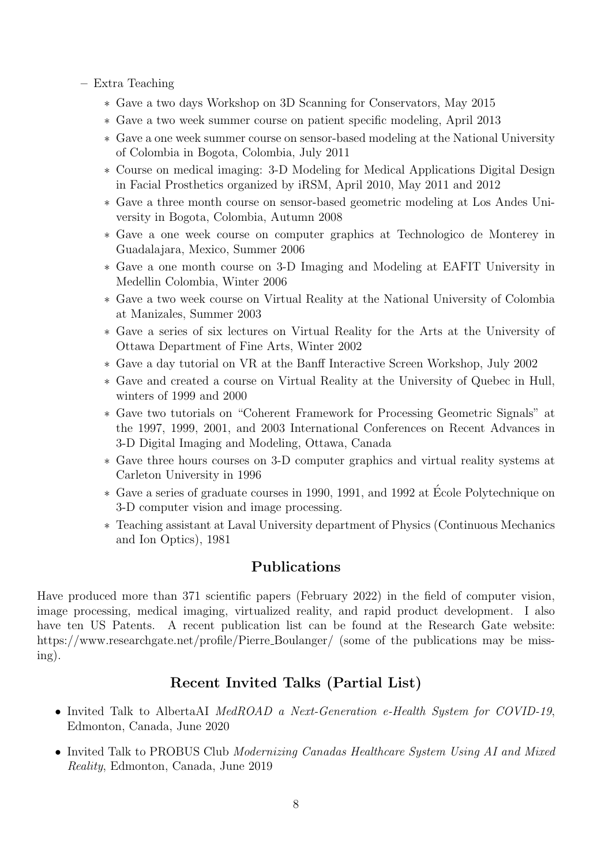- Extra Teaching
	- ∗ Gave a two days Workshop on 3D Scanning for Conservators, May 2015
	- ∗ Gave a two week summer course on patient specific modeling, April 2013
	- ∗ Gave a one week summer course on sensor-based modeling at the National University of Colombia in Bogota, Colombia, July 2011
	- ∗ Course on medical imaging: 3-D Modeling for Medical Applications Digital Design in Facial Prosthetics organized by iRSM, April 2010, May 2011 and 2012
	- ∗ Gave a three month course on sensor-based geometric modeling at Los Andes University in Bogota, Colombia, Autumn 2008
	- ∗ Gave a one week course on computer graphics at Technologico de Monterey in Guadalajara, Mexico, Summer 2006
	- ∗ Gave a one month course on 3-D Imaging and Modeling at EAFIT University in Medellin Colombia, Winter 2006
	- ∗ Gave a two week course on Virtual Reality at the National University of Colombia at Manizales, Summer 2003
	- ∗ Gave a series of six lectures on Virtual Reality for the Arts at the University of Ottawa Department of Fine Arts, Winter 2002
	- ∗ Gave a day tutorial on VR at the Banff Interactive Screen Workshop, July 2002
	- ∗ Gave and created a course on Virtual Reality at the University of Quebec in Hull, winters of 1999 and 2000
	- ∗ Gave two tutorials on "Coherent Framework for Processing Geometric Signals" at the 1997, 1999, 2001, and 2003 International Conferences on Recent Advances in 3-D Digital Imaging and Modeling, Ottawa, Canada
	- ∗ Gave three hours courses on 3-D computer graphics and virtual reality systems at Carleton University in 1996
	- ∗ Gave a series of graduate courses in 1990, 1991, and 1992 at Ecole Polytechnique on ´ 3-D computer vision and image processing.
	- ∗ Teaching assistant at Laval University department of Physics (Continuous Mechanics and Ion Optics), 1981

# Publications

Have produced more than 371 scientific papers (February 2022) in the field of computer vision, image processing, medical imaging, virtualized reality, and rapid product development. I also have ten US Patents. A recent publication list can be found at the Research Gate website: https://www.researchgate.net/profile/Pierre\_Boulanger/ (some of the publications may be missing).

# Recent Invited Talks (Partial List)

- Invited Talk to AlbertaAI MedROAD a Next-Generation e-Health System for COVID-19, Edmonton, Canada, June 2020
- Invited Talk to PROBUS Club Modernizing Canadas Healthcare System Using AI and Mixed Reality, Edmonton, Canada, June 2019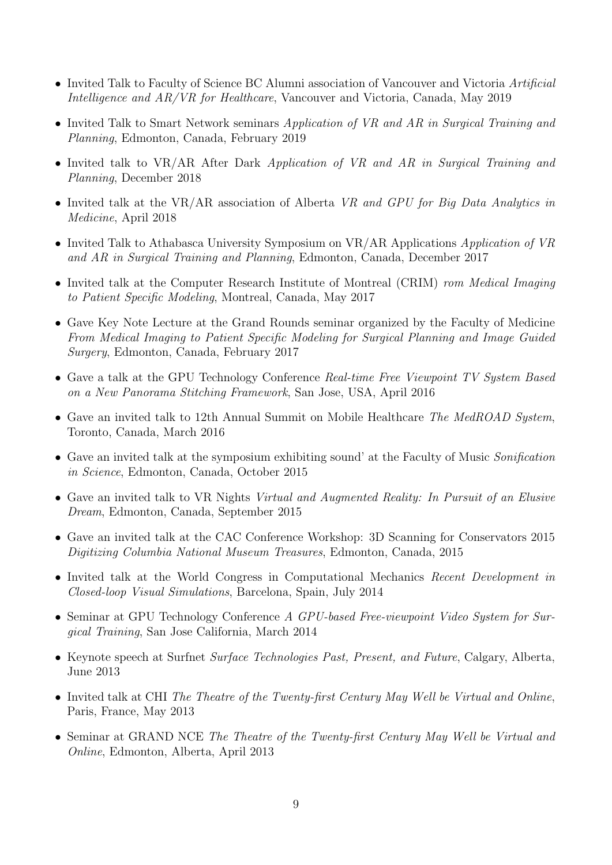- Invited Talk to Faculty of Science BC Alumni association of Vancouver and Victoria Artificial Intelligence and AR/VR for Healthcare, Vancouver and Victoria, Canada, May 2019
- Invited Talk to Smart Network seminars Application of VR and AR in Surgical Training and Planning, Edmonton, Canada, February 2019
- Invited talk to VR/AR After Dark Application of VR and AR in Surgical Training and Planning, December 2018
- Invited talk at the VR/AR association of Alberta VR and GPU for Big Data Analytics in Medicine, April 2018
- Invited Talk to Athabasca University Symposium on VR/AR Applications Application of VR and AR in Surgical Training and Planning, Edmonton, Canada, December 2017
- Invited talk at the Computer Research Institute of Montreal (CRIM) rom Medical Imaging to Patient Specific Modeling, Montreal, Canada, May 2017
- Gave Key Note Lecture at the Grand Rounds seminar organized by the Faculty of Medicine From Medical Imaging to Patient Specific Modeling for Surgical Planning and Image Guided Surgery, Edmonton, Canada, February 2017
- Gave a talk at the GPU Technology Conference Real-time Free Viewpoint TV System Based on a New Panorama Stitching Framework, San Jose, USA, April 2016
- Gave an invited talk to 12th Annual Summit on Mobile Healthcare The MedROAD System, Toronto, Canada, March 2016
- Gave an invited talk at the symposium exhibiting sound' at the Faculty of Music Sonification in Science, Edmonton, Canada, October 2015
- Gave an invited talk to VR Nights Virtual and Augmented Reality: In Pursuit of an Elusive Dream, Edmonton, Canada, September 2015
- Gave an invited talk at the CAC Conference Workshop: 3D Scanning for Conservators 2015 Digitizing Columbia National Museum Treasures, Edmonton, Canada, 2015
- Invited talk at the World Congress in Computational Mechanics Recent Development in Closed-loop Visual Simulations, Barcelona, Spain, July 2014
- Seminar at GPU Technology Conference A GPU-based Free-viewpoint Video System for Surgical Training, San Jose California, March 2014
- Keynote speech at Surfnet Surface Technologies Past, Present, and Future, Calgary, Alberta, June 2013
- Invited talk at CHI The Theatre of the Twenty-first Century May Well be Virtual and Online, Paris, France, May 2013
- Seminar at GRAND NCE The Theatre of the Twenty-first Century May Well be Virtual and Online, Edmonton, Alberta, April 2013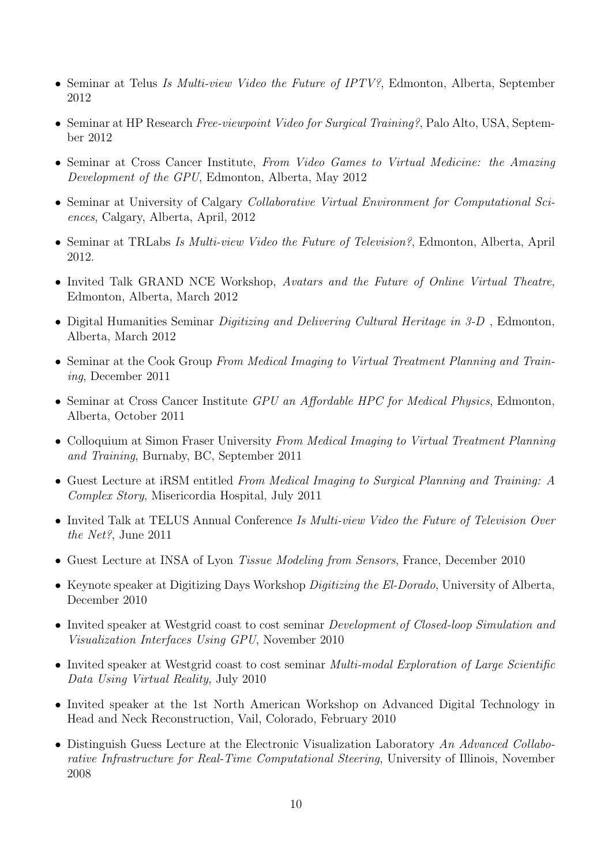- Seminar at Telus Is Multi-view Video the Future of IPTV?, Edmonton, Alberta, September 2012
- Seminar at HP Research Free-viewpoint Video for Surgical Training?, Palo Alto, USA, September 2012
- Seminar at Cross Cancer Institute, From Video Games to Virtual Medicine: the Amazing Development of the GPU, Edmonton, Alberta, May 2012
- Seminar at University of Calgary Collaborative Virtual Environment for Computational Sciences, Calgary, Alberta, April, 2012
- Seminar at TRLabs Is Multi-view Video the Future of Television?, Edmonton, Alberta, April 2012.
- Invited Talk GRAND NCE Workshop, Avatars and the Future of Online Virtual Theatre, Edmonton, Alberta, March 2012
- Digital Humanities Seminar Digitizing and Delivering Cultural Heritage in 3-D , Edmonton, Alberta, March 2012
- Seminar at the Cook Group From Medical Imaging to Virtual Treatment Planning and Training, December 2011
- Seminar at Cross Cancer Institute GPU an Affordable HPC for Medical Physics, Edmonton, Alberta, October 2011
- Colloquium at Simon Fraser University From Medical Imaging to Virtual Treatment Planning and Training, Burnaby, BC, September 2011
- Guest Lecture at iRSM entitled From Medical Imaging to Surgical Planning and Training: A Complex Story, Misericordia Hospital, July 2011
- Invited Talk at TELUS Annual Conference Is Multi-view Video the Future of Television Over the Net?, June 2011
- Guest Lecture at INSA of Lyon Tissue Modeling from Sensors, France, December 2010
- Keynote speaker at Digitizing Days Workshop Digitizing the El-Dorado, University of Alberta, December 2010
- Invited speaker at Westgrid coast to cost seminar *Development of Closed-loop Simulation and* Visualization Interfaces Using GPU, November 2010
- Invited speaker at Westgrid coast to cost seminar *Multi-modal Exploration of Large Scientific* Data Using Virtual Reality, July 2010
- Invited speaker at the 1st North American Workshop on Advanced Digital Technology in Head and Neck Reconstruction, Vail, Colorado, February 2010
- Distinguish Guess Lecture at the Electronic Visualization Laboratory An Advanced Collaborative Infrastructure for Real-Time Computational Steering, University of Illinois, November 2008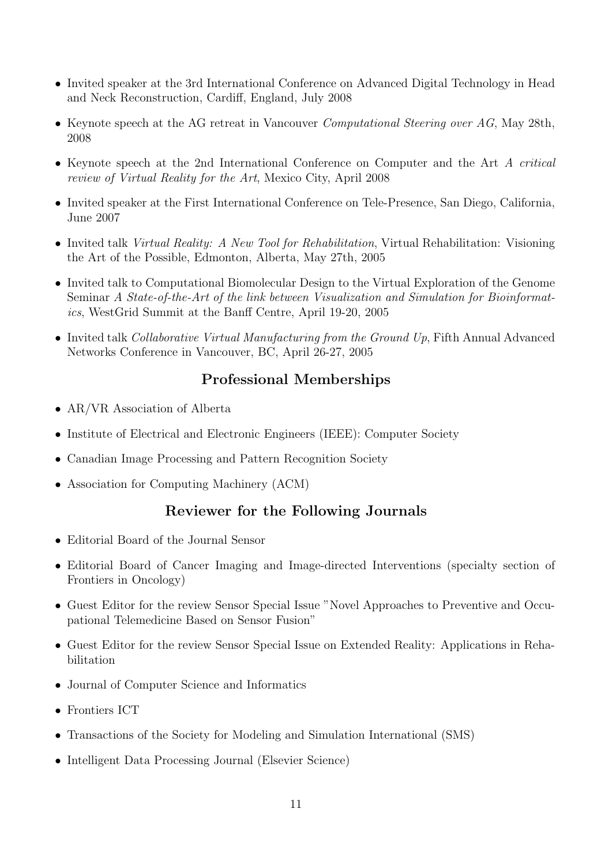- Invited speaker at the 3rd International Conference on Advanced Digital Technology in Head and Neck Reconstruction, Cardiff, England, July 2008
- Keynote speech at the AG retreat in Vancouver Computational Steering over AG, May 28th, 2008
- Keynote speech at the 2nd International Conference on Computer and the Art A critical review of Virtual Reality for the Art, Mexico City, April 2008
- Invited speaker at the First International Conference on Tele-Presence, San Diego, California, June 2007
- Invited talk Virtual Reality: A New Tool for Rehabilitation, Virtual Rehabilitation: Visioning the Art of the Possible, Edmonton, Alberta, May 27th, 2005
- Invited talk to Computational Biomolecular Design to the Virtual Exploration of the Genome Seminar A State-of-the-Art of the link between Visualization and Simulation for Bioinformatics, WestGrid Summit at the Banff Centre, April 19-20, 2005
- Invited talk Collaborative Virtual Manufacturing from the Ground Up, Fifth Annual Advanced Networks Conference in Vancouver, BC, April 26-27, 2005

# Professional Memberships

- AR/VR Association of Alberta
- Institute of Electrical and Electronic Engineers (IEEE): Computer Society
- Canadian Image Processing and Pattern Recognition Society
- Association for Computing Machinery (ACM)

# Reviewer for the Following Journals

- Editorial Board of the Journal Sensor
- Editorial Board of Cancer Imaging and Image-directed Interventions (specialty section of Frontiers in Oncology)
- Guest Editor for the review Sensor Special Issue "Novel Approaches to Preventive and Occupational Telemedicine Based on Sensor Fusion"
- Guest Editor for the review Sensor Special Issue on Extended Reality: Applications in Rehabilitation
- Journal of Computer Science and Informatics
- Frontiers ICT
- Transactions of the Society for Modeling and Simulation International (SMS)
- Intelligent Data Processing Journal (Elsevier Science)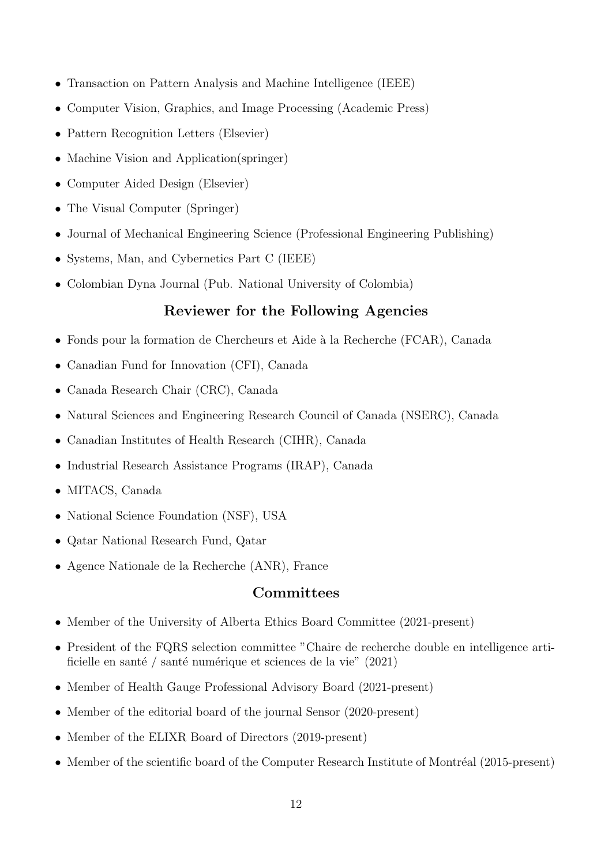- Transaction on Pattern Analysis and Machine Intelligence (IEEE)
- Computer Vision, Graphics, and Image Processing (Academic Press)
- Pattern Recognition Letters (Elsevier)
- Machine Vision and Application(springer)
- Computer Aided Design (Elsevier)
- The Visual Computer (Springer)
- Journal of Mechanical Engineering Science (Professional Engineering Publishing)
- Systems, Man, and Cybernetics Part C (IEEE)
- Colombian Dyna Journal (Pub. National University of Colombia)

# Reviewer for the Following Agencies

- Fonds pour la formation de Chercheurs et Aide à la Recherche (FCAR), Canada
- Canadian Fund for Innovation (CFI), Canada
- Canada Research Chair (CRC), Canada
- Natural Sciences and Engineering Research Council of Canada (NSERC), Canada
- Canadian Institutes of Health Research (CIHR), Canada
- Industrial Research Assistance Programs (IRAP), Canada
- MITACS, Canada
- National Science Foundation (NSF), USA
- Qatar National Research Fund, Qatar
- Agence Nationale de la Recherche (ANR), France

### Committees

- Member of the University of Alberta Ethics Board Committee (2021-present)
- President of the FQRS selection committee "Chaire de recherche double en intelligence artificielle en santé / santé numérique et sciences de la vie"  $(2021)$
- Member of Health Gauge Professional Advisory Board (2021-present)
- Member of the editorial board of the journal Sensor (2020-present)
- Member of the ELIXR Board of Directors (2019-present)
- Member of the scientific board of the Computer Research Institute of Montréal (2015-present)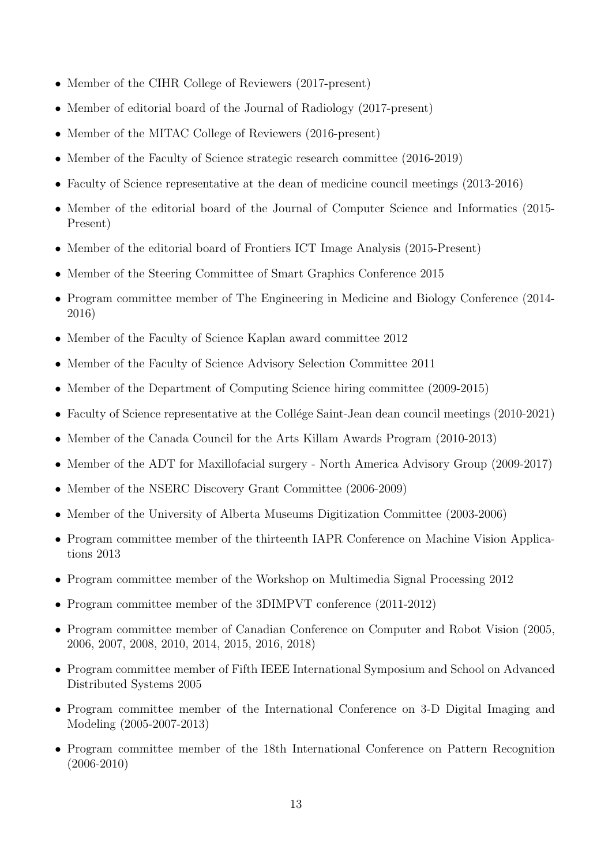- Member of the CIHR College of Reviewers (2017-present)
- Member of editorial board of the Journal of Radiology (2017-present)
- Member of the MITAC College of Reviewers (2016-present)
- Member of the Faculty of Science strategic research committee (2016-2019)
- Faculty of Science representative at the dean of medicine council meetings (2013-2016)
- Member of the editorial board of the Journal of Computer Science and Informatics (2015- Present)
- Member of the editorial board of Frontiers ICT Image Analysis (2015-Present)
- Member of the Steering Committee of Smart Graphics Conference 2015
- Program committee member of The Engineering in Medicine and Biology Conference (2014- 2016)
- Member of the Faculty of Science Kaplan award committee 2012
- Member of the Faculty of Science Advisory Selection Committee 2011
- Member of the Department of Computing Science hiring committee (2009-2015)
- Faculty of Science representative at the Collége Saint-Jean dean council meetings (2010-2021)
- Member of the Canada Council for the Arts Killam Awards Program (2010-2013)
- Member of the ADT for Maxillofacial surgery North America Advisory Group (2009-2017)
- Member of the NSERC Discovery Grant Committee (2006-2009)
- Member of the University of Alberta Museums Digitization Committee (2003-2006)
- Program committee member of the thirteenth IAPR Conference on Machine Vision Applications 2013
- Program committee member of the Workshop on Multimedia Signal Processing 2012
- Program committee member of the 3DIMPVT conference (2011-2012)
- Program committee member of Canadian Conference on Computer and Robot Vision (2005, 2006, 2007, 2008, 2010, 2014, 2015, 2016, 2018)
- Program committee member of Fifth IEEE International Symposium and School on Advanced Distributed Systems 2005
- Program committee member of the International Conference on 3-D Digital Imaging and Modeling (2005-2007-2013)
- Program committee member of the 18th International Conference on Pattern Recognition (2006-2010)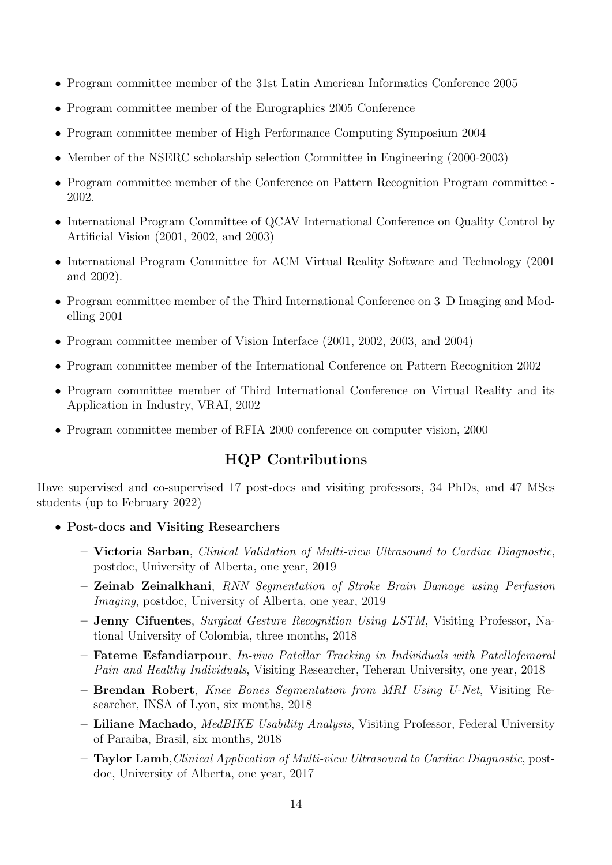- Program committee member of the 31st Latin American Informatics Conference 2005
- Program committee member of the Eurographics 2005 Conference
- Program committee member of High Performance Computing Symposium 2004
- Member of the NSERC scholarship selection Committee in Engineering (2000-2003)
- Program committee member of the Conference on Pattern Recognition Program committee 2002.
- International Program Committee of QCAV International Conference on Quality Control by Artificial Vision (2001, 2002, and 2003)
- International Program Committee for ACM Virtual Reality Software and Technology (2001) and 2002).
- Program committee member of the Third International Conference on 3–D Imaging and Modelling 2001
- Program committee member of Vision Interface (2001, 2002, 2003, and 2004)
- Program committee member of the International Conference on Pattern Recognition 2002
- Program committee member of Third International Conference on Virtual Reality and its Application in Industry, VRAI, 2002
- Program committee member of RFIA 2000 conference on computer vision, 2000

# HQP Contributions

Have supervised and co-supervised 17 post-docs and visiting professors, 34 PhDs, and 47 MScs students (up to February 2022)

- Post-docs and Visiting Researchers
	- Victoria Sarban, Clinical Validation of Multi-view Ultrasound to Cardiac Diagnostic, postdoc, University of Alberta, one year, 2019
	- Zeinab Zeinalkhani, RNN Segmentation of Stroke Brain Damage using Perfusion Imaging, postdoc, University of Alberta, one year, 2019
	- Jenny Cifuentes, Surgical Gesture Recognition Using LSTM, Visiting Professor, National University of Colombia, three months, 2018
	- Fateme Esfandiarpour, In-vivo Patellar Tracking in Individuals with Patellofemoral Pain and Healthy Individuals, Visiting Researcher, Teheran University, one year, 2018
	- Brendan Robert, Knee Bones Segmentation from MRI Using U-Net, Visiting Researcher, INSA of Lyon, six months, 2018
	- Liliane Machado, MedBIKE Usability Analysis, Visiting Professor, Federal University of Paraiba, Brasil, six months, 2018
	- Taylor Lamb,Clinical Application of Multi-view Ultrasound to Cardiac Diagnostic, postdoc, University of Alberta, one year, 2017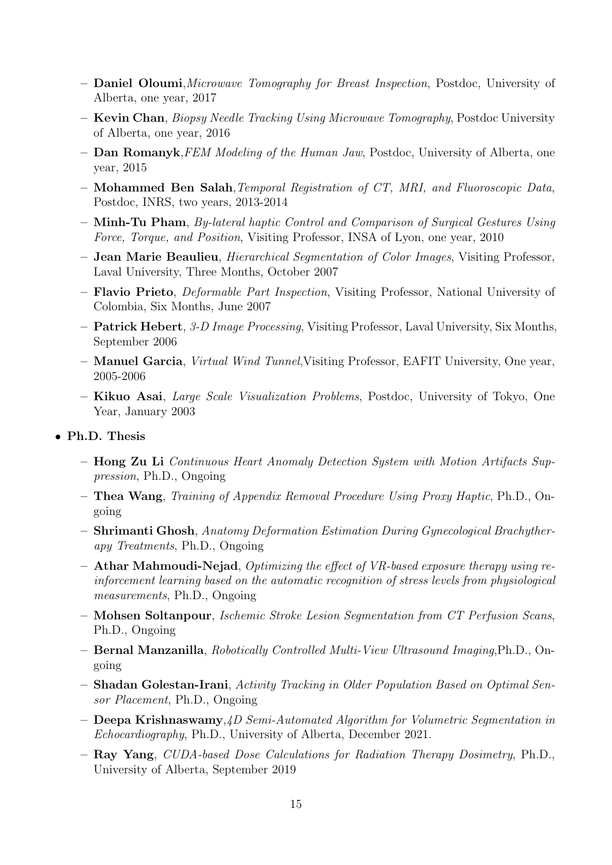- Daniel Oloumi,Microwave Tomography for Breast Inspection, Postdoc, University of Alberta, one year, 2017
- Kevin Chan, Biopsy Needle Tracking Using Microwave Tomography, Postdoc University of Alberta, one year, 2016
- Dan Romanyk,FEM Modeling of the Human Jaw, Postdoc, University of Alberta, one year, 2015
- Mohammed Ben Salah,Temporal Registration of CT, MRI, and Fluoroscopic Data, Postdoc, INRS, two years, 2013-2014
- Minh-Tu Pham, By-lateral haptic Control and Comparison of Surgical Gestures Using Force, Torque, and Position, Visiting Professor, INSA of Lyon, one year, 2010
- Jean Marie Beaulieu, Hierarchical Segmentation of Color Images, Visiting Professor, Laval University, Three Months, October 2007
- Flavio Prieto, Deformable Part Inspection, Visiting Professor, National University of Colombia, Six Months, June 2007
- Patrick Hebert, 3-D Image Processing, Visiting Professor, Laval University, Six Months, September 2006
- Manuel Garcia, Virtual Wind Tunnel,Visiting Professor, EAFIT University, One year, 2005-2006
- Kikuo Asai, Large Scale Visualization Problems, Postdoc, University of Tokyo, One Year, January 2003
- Ph.D. Thesis
	- Hong Zu Li Continuous Heart Anomaly Detection System with Motion Artifacts Suppression, Ph.D., Ongoing
	- Thea Wang, Training of Appendix Removal Procedure Using Proxy Haptic, Ph.D., Ongoing
	- Shrimanti Ghosh, Anatomy Deformation Estimation During Gynecological Brachytherapy Treatments, Ph.D., Ongoing
	- Athar Mahmoudi-Nejad, Optimizing the effect of VR-based exposure therapy using reinforcement learning based on the automatic recognition of stress levels from physiological measurements, Ph.D., Ongoing
	- Mohsen Soltanpour, Ischemic Stroke Lesion Segmentation from CT Perfusion Scans, Ph.D., Ongoing
	- Bernal Manzanilla, Robotically Controlled Multi-View Ultrasound Imaging,Ph.D., Ongoing
	- Shadan Golestan-Irani, Activity Tracking in Older Population Based on Optimal Sensor Placement, Ph.D., Ongoing
	- Deepa Krishnaswamy,4D Semi-Automated Algorithm for Volumetric Segmentation in Echocardiography, Ph.D., University of Alberta, December 2021.
	- Ray Yang, CUDA-based Dose Calculations for Radiation Therapy Dosimetry, Ph.D., University of Alberta, September 2019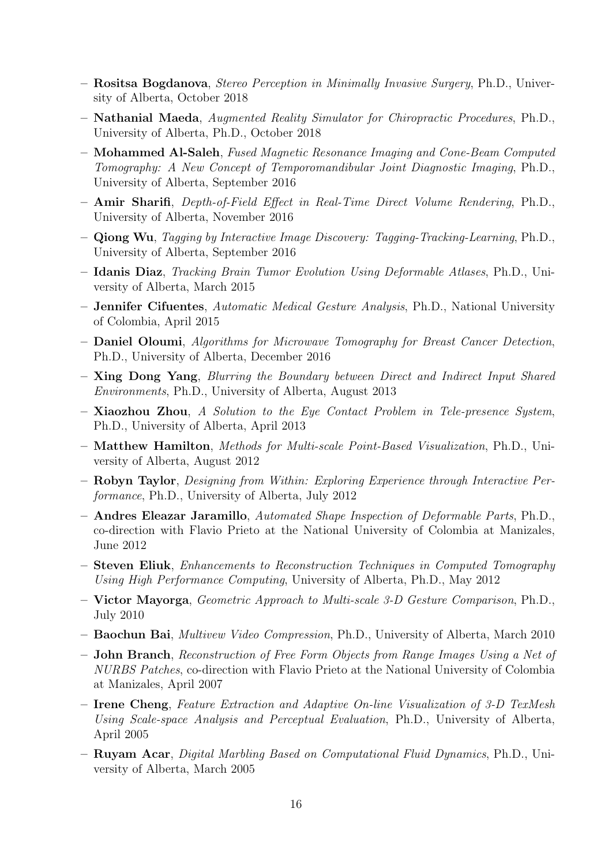- Rositsa Bogdanova, Stereo Perception in Minimally Invasive Surgery, Ph.D., University of Alberta, October 2018
- Nathanial Maeda, Augmented Reality Simulator for Chiropractic Procedures, Ph.D., University of Alberta, Ph.D., October 2018
- Mohammed Al-Saleh, Fused Magnetic Resonance Imaging and Cone-Beam Computed Tomography: A New Concept of Temporomandibular Joint Diagnostic Imaging, Ph.D., University of Alberta, September 2016
- Amir Sharifi, Depth-of-Field Effect in Real-Time Direct Volume Rendering, Ph.D., University of Alberta, November 2016
- Qiong Wu, Tagging by Interactive Image Discovery: Tagging-Tracking-Learning, Ph.D., University of Alberta, September 2016
- Idanis Diaz, Tracking Brain Tumor Evolution Using Deformable Atlases, Ph.D., University of Alberta, March 2015
- Jennifer Cifuentes, Automatic Medical Gesture Analysis, Ph.D., National University of Colombia, April 2015
- Daniel Oloumi, Algorithms for Microwave Tomography for Breast Cancer Detection, Ph.D., University of Alberta, December 2016
- Xing Dong Yang, Blurring the Boundary between Direct and Indirect Input Shared Environments, Ph.D., University of Alberta, August 2013
- $-$  Xiaozhou Zhou, A Solution to the Eye Contact Problem in Tele-presence System, Ph.D., University of Alberta, April 2013
- Matthew Hamilton, Methods for Multi-scale Point-Based Visualization, Ph.D., University of Alberta, August 2012
- Robyn Taylor, Designing from Within: Exploring Experience through Interactive Performance, Ph.D., University of Alberta, July 2012
- Andres Eleazar Jaramillo, Automated Shape Inspection of Deformable Parts, Ph.D., co-direction with Flavio Prieto at the National University of Colombia at Manizales, June 2012
- Steven Eliuk, Enhancements to Reconstruction Techniques in Computed Tomography Using High Performance Computing, University of Alberta, Ph.D., May 2012
- Victor Mayorga, Geometric Approach to Multi-scale 3-D Gesture Comparison, Ph.D., July 2010
- Baochun Bai, Multivew Video Compression, Ph.D., University of Alberta, March 2010
- John Branch, Reconstruction of Free Form Objects from Range Images Using a Net of NURBS Patches, co-direction with Flavio Prieto at the National University of Colombia at Manizales, April 2007
- Irene Cheng, Feature Extraction and Adaptive On-line Visualization of 3-D TexMesh Using Scale-space Analysis and Perceptual Evaluation, Ph.D., University of Alberta, April 2005
- Ruyam Acar, Digital Marbling Based on Computational Fluid Dynamics, Ph.D., University of Alberta, March 2005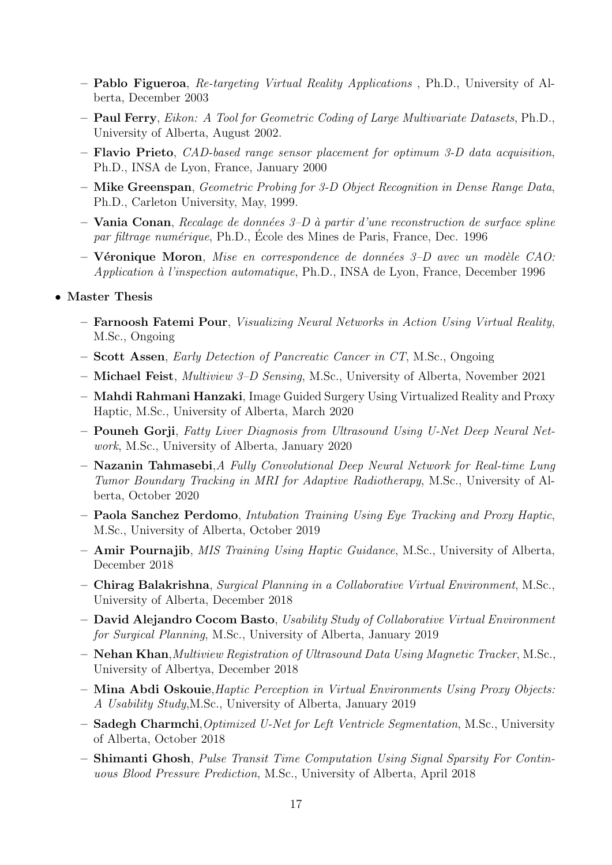- Pablo Figueroa, Re-targeting Virtual Reality Applications , Ph.D., University of Alberta, December 2003
- Paul Ferry, Eikon: A Tool for Geometric Coding of Large Multivariate Datasets, Ph.D., University of Alberta, August 2002.
- $-$  Flavio Prieto, *CAD-based range sensor placement for optimum 3-D data acquisition*, Ph.D., INSA de Lyon, France, January 2000
- Mike Greenspan, Geometric Probing for 3-D Object Recognition in Dense Range Data, Ph.D., Carleton University, May, 1999.
- Vania Conan, Recalage de données  $3-D$  à partir d'une reconstruction de surface spline par filtrage numérique, Ph.D., École des Mines de Paris, France, Dec. 1996
- Véronique Moron, Mise en correspondence de données  $3-D$  avec un modèle CAO: Application à l'inspection automatique, Ph.D., INSA de Lyon, France, December 1996
- Master Thesis
	- Farnoosh Fatemi Pour, Visualizing Neural Networks in Action Using Virtual Reality, M.Sc., Ongoing
	- Scott Assen, Early Detection of Pancreatic Cancer in CT, M.Sc., Ongoing
	- Michael Feist, Multiview 3–D Sensing, M.Sc., University of Alberta, November 2021
	- Mahdi Rahmani Hanzaki, Image Guided Surgery Using Virtualized Reality and Proxy Haptic, M.Sc., University of Alberta, March 2020
	- Pouneh Gorji, Fatty Liver Diagnosis from Ultrasound Using U-Net Deep Neural Network, M.Sc., University of Alberta, January 2020
	- Nazanin Tahmasebi,A Fully Convolutional Deep Neural Network for Real-time Lung Tumor Boundary Tracking in MRI for Adaptive Radiotherapy, M.Sc., University of Alberta, October 2020
	- Paola Sanchez Perdomo, Intubation Training Using Eye Tracking and Proxy Haptic, M.Sc., University of Alberta, October 2019
	- Amir Pournajib, MIS Training Using Haptic Guidance, M.Sc., University of Alberta, December 2018
	- Chirag Balakrishna, Surgical Planning in a Collaborative Virtual Environment, M.Sc., University of Alberta, December 2018
	- David Alejandro Cocom Basto, Usability Study of Collaborative Virtual Environment for Surgical Planning, M.Sc., University of Alberta, January 2019
	- Nehan Khan,Multiview Registration of Ultrasound Data Using Magnetic Tracker, M.Sc., University of Albertya, December 2018
	- Mina Abdi Oskouie,Haptic Perception in Virtual Environments Using Proxy Objects: A Usability Study,M.Sc., University of Alberta, January 2019
	- Sadegh Charmchi,Optimized U-Net for Left Ventricle Segmentation, M.Sc., University of Alberta, October 2018
	- Shimanti Ghosh, Pulse Transit Time Computation Using Signal Sparsity For Continuous Blood Pressure Prediction, M.Sc., University of Alberta, April 2018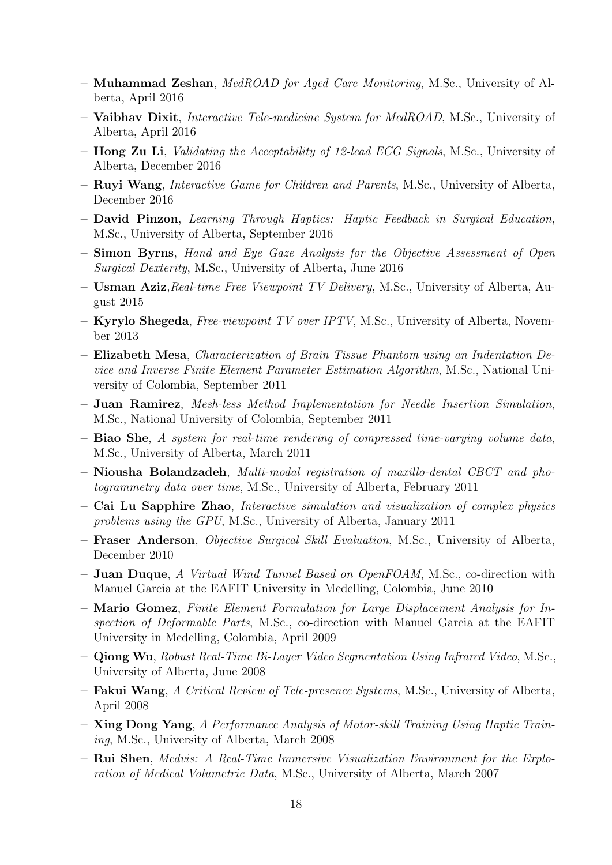- Muhammad Zeshan, MedROAD for Aged Care Monitoring, M.Sc., University of Alberta, April 2016
- Vaibhav Dixit, Interactive Tele-medicine System for MedROAD, M.Sc., University of Alberta, April 2016
- Hong Zu Li, Validating the Acceptability of 12-lead ECG Signals, M.Sc., University of Alberta, December 2016
- Ruyi Wang, Interactive Game for Children and Parents, M.Sc., University of Alberta, December 2016
- David Pinzon, Learning Through Haptics: Haptic Feedback in Surgical Education, M.Sc., University of Alberta, September 2016
- Simon Byrns, Hand and Eye Gaze Analysis for the Objective Assessment of Open Surgical Dexterity, M.Sc., University of Alberta, June 2016
- Usman Aziz,Real-time Free Viewpoint TV Delivery, M.Sc., University of Alberta, August 2015
- Kyrylo Shegeda, Free-viewpoint TV over IPTV, M.Sc., University of Alberta, November 2013
- Elizabeth Mesa, Characterization of Brain Tissue Phantom using an Indentation Device and Inverse Finite Element Parameter Estimation Algorithm, M.Sc., National University of Colombia, September 2011
- Juan Ramirez, Mesh-less Method Implementation for Needle Insertion Simulation, M.Sc., National University of Colombia, September 2011
- Biao She, A system for real-time rendering of compressed time-varying volume data, M.Sc., University of Alberta, March 2011
- Niousha Bolandzadeh, Multi-modal registration of maxillo-dental CBCT and photogrammetry data over time, M.Sc., University of Alberta, February 2011
- Cai Lu Sapphire Zhao, Interactive simulation and visualization of complex physics problems using the GPU, M.Sc., University of Alberta, January 2011
- Fraser Anderson, Objective Surgical Skill Evaluation, M.Sc., University of Alberta, December 2010
- $-$  Juan Duque, A Virtual Wind Tunnel Based on OpenFOAM, M.S.c., co-direction with Manuel Garcia at the EAFIT University in Medelling, Colombia, June 2010
- Mario Gomez, Finite Element Formulation for Large Displacement Analysis for Inspection of Deformable Parts, M.Sc., co-direction with Manuel Garcia at the EAFIT University in Medelling, Colombia, April 2009
- Qiong Wu, Robust Real-Time Bi-Layer Video Segmentation Using Infrared Video, M.Sc., University of Alberta, June 2008
- Fakui Wang, A Critical Review of Tele-presence Systems, M.Sc., University of Alberta, April 2008
- Xing Dong Yang, A Performance Analysis of Motor-skill Training Using Haptic Training, M.Sc., University of Alberta, March 2008
- Rui Shen, Medvis: A Real-Time Immersive Visualization Environment for the Exploration of Medical Volumetric Data, M.Sc., University of Alberta, March 2007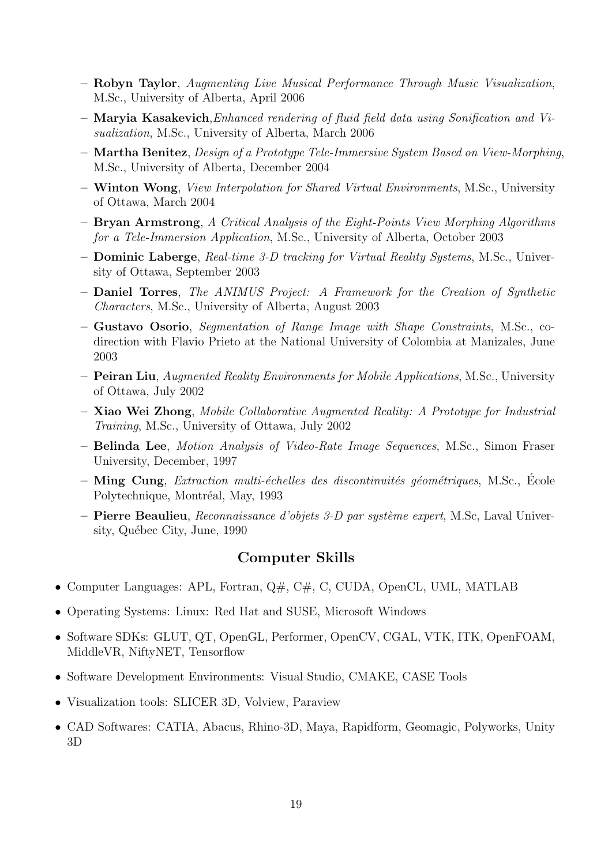- Robyn Taylor, Augmenting Live Musical Performance Through Music Visualization, M.Sc., University of Alberta, April 2006
- Maryia Kasakevich,Enhanced rendering of fluid field data using Sonification and Visualization, M.Sc., University of Alberta, March 2006
- Martha Benitez, Design of a Prototype Tele-Immersive System Based on View-Morphing, M.Sc., University of Alberta, December 2004
- Winton Wong, View Interpolation for Shared Virtual Environments, M.Sc., University of Ottawa, March 2004
- Bryan Armstrong, A Critical Analysis of the Eight-Points View Morphing Algorithms for a Tele-Immersion Application, M.Sc., University of Alberta, October 2003
- Dominic Laberge, Real-time 3-D tracking for Virtual Reality Systems, M.Sc., University of Ottawa, September 2003
- Daniel Torres, The ANIMUS Project: A Framework for the Creation of Synthetic Characters, M.Sc., University of Alberta, August 2003
- Gustavo Osorio, Segmentation of Range Image with Shape Constraints, M.Sc., codirection with Flavio Prieto at the National University of Colombia at Manizales, June 2003
- Peiran Liu, Augmented Reality Environments for Mobile Applications, M.Sc., University of Ottawa, July 2002
- Xiao Wei Zhong, Mobile Collaborative Augmented Reality: A Prototype for Industrial Training, M.Sc., University of Ottawa, July 2002
- Belinda Lee, Motion Analysis of Video-Rate Image Sequences, M.Sc., Simon Fraser University, December, 1997
- $-$  Ming Cung, *Extraction multi-échelles des discontinuités géométriques*, M.Sc., École Polytechnique, Montréal, May, 1993
- Pierre Beaulieu, Reconnaissance d'objets 3-D par système expert, M.Sc, Laval University, Québec City, June, 1990

### Computer Skills

- Computer Languages: APL, Fortran, Q#, C#, C, CUDA, OpenCL, UML, MATLAB
- Operating Systems: Linux: Red Hat and SUSE, Microsoft Windows
- Software SDKs: GLUT, QT, OpenGL, Performer, OpenCV, CGAL, VTK, ITK, OpenFOAM, MiddleVR, NiftyNET, Tensorflow
- Software Development Environments: Visual Studio, CMAKE, CASE Tools
- Visualization tools: SLICER 3D, Volview, Paraview
- CAD Softwares: CATIA, Abacus, Rhino-3D, Maya, Rapidform, Geomagic, Polyworks, Unity 3D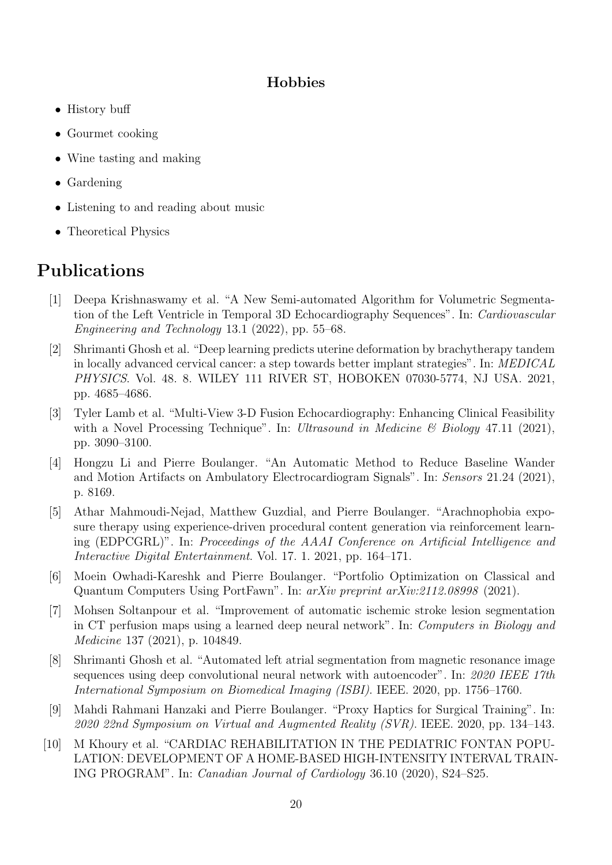# Hobbies

- History buff
- Gourmet cooking
- Wine tasting and making
- Gardening
- Listening to and reading about music
- Theoretical Physics

# Publications

- [1] Deepa Krishnaswamy et al. "A New Semi-automated Algorithm for Volumetric Segmentation of the Left Ventricle in Temporal 3D Echocardiography Sequences". In: Cardiovascular Engineering and Technology 13.1 (2022), pp. 55–68.
- [2] Shrimanti Ghosh et al. "Deep learning predicts uterine deformation by brachytherapy tandem in locally advanced cervical cancer: a step towards better implant strategies". In: MEDICAL PHYSICS. Vol. 48. 8. WILEY 111 RIVER ST, HOBOKEN 07030-5774, NJ USA. 2021, pp. 4685–4686.
- [3] Tyler Lamb et al. "Multi-View 3-D Fusion Echocardiography: Enhancing Clinical Feasibility with a Novel Processing Technique". In: Ultrasound in Medicine & Biology 47.11 (2021), pp. 3090–3100.
- [4] Hongzu Li and Pierre Boulanger. "An Automatic Method to Reduce Baseline Wander and Motion Artifacts on Ambulatory Electrocardiogram Signals". In: Sensors 21.24 (2021), p. 8169.
- [5] Athar Mahmoudi-Nejad, Matthew Guzdial, and Pierre Boulanger. "Arachnophobia exposure therapy using experience-driven procedural content generation via reinforcement learning (EDPCGRL)". In: Proceedings of the AAAI Conference on Artificial Intelligence and Interactive Digital Entertainment. Vol. 17. 1. 2021, pp. 164–171.
- [6] Moein Owhadi-Kareshk and Pierre Boulanger. "Portfolio Optimization on Classical and Quantum Computers Using PortFawn". In: arXiv preprint arXiv:2112.08998 (2021).
- [7] Mohsen Soltanpour et al. "Improvement of automatic ischemic stroke lesion segmentation in CT perfusion maps using a learned deep neural network". In: Computers in Biology and Medicine 137 (2021), p. 104849.
- [8] Shrimanti Ghosh et al. "Automated left atrial segmentation from magnetic resonance image sequences using deep convolutional neural network with autoencoder". In: 2020 IEEE 17th International Symposium on Biomedical Imaging (ISBI). IEEE. 2020, pp. 1756–1760.
- [9] Mahdi Rahmani Hanzaki and Pierre Boulanger. "Proxy Haptics for Surgical Training". In: 2020 22nd Symposium on Virtual and Augmented Reality (SVR). IEEE. 2020, pp. 134–143.
- [10] M Khoury et al. "CARDIAC REHABILITATION IN THE PEDIATRIC FONTAN POPU-LATION: DEVELOPMENT OF A HOME-BASED HIGH-INTENSITY INTERVAL TRAIN-ING PROGRAM". In: Canadian Journal of Cardiology 36.10 (2020), S24–S25.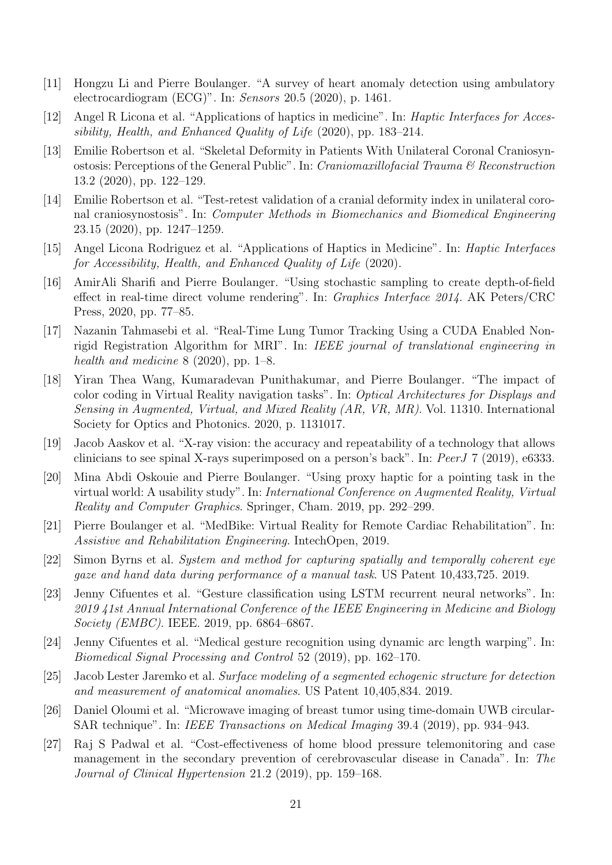- [11] Hongzu Li and Pierre Boulanger. "A survey of heart anomaly detection using ambulatory electrocardiogram (ECG)". In: Sensors 20.5 (2020), p. 1461.
- [12] Angel R Licona et al. "Applications of haptics in medicine". In: Haptic Interfaces for Accessibility, Health, and Enhanced Quality of Life (2020), pp. 183–214.
- [13] Emilie Robertson et al. "Skeletal Deformity in Patients With Unilateral Coronal Craniosynostosis: Perceptions of the General Public". In: Craniomaxillofacial Trauma & Reconstruction 13.2 (2020), pp. 122–129.
- [14] Emilie Robertson et al. "Test-retest validation of a cranial deformity index in unilateral coronal craniosynostosis". In: Computer Methods in Biomechanics and Biomedical Engineering 23.15 (2020), pp. 1247–1259.
- [15] Angel Licona Rodriguez et al. "Applications of Haptics in Medicine". In: Haptic Interfaces for Accessibility, Health, and Enhanced Quality of Life (2020).
- [16] AmirAli Sharifi and Pierre Boulanger. "Using stochastic sampling to create depth-of-field effect in real-time direct volume rendering". In: Graphics Interface 2014. AK Peters/CRC Press, 2020, pp. 77–85.
- [17] Nazanin Tahmasebi et al. "Real-Time Lung Tumor Tracking Using a CUDA Enabled Nonrigid Registration Algorithm for MRI". In: IEEE journal of translational engineering in health and medicine  $8$  (2020), pp. 1–8.
- [18] Yiran Thea Wang, Kumaradevan Punithakumar, and Pierre Boulanger. "The impact of color coding in Virtual Reality navigation tasks". In: Optical Architectures for Displays and Sensing in Augmented, Virtual, and Mixed Reality (AR, VR, MR). Vol. 11310. International Society for Optics and Photonics. 2020, p. 1131017.
- [19] Jacob Aaskov et al. "X-ray vision: the accuracy and repeatability of a technology that allows clinicians to see spinal X-rays superimposed on a person's back". In: PeerJ 7 (2019), e6333.
- [20] Mina Abdi Oskouie and Pierre Boulanger. "Using proxy haptic for a pointing task in the virtual world: A usability study". In: International Conference on Augmented Reality, Virtual Reality and Computer Graphics. Springer, Cham. 2019, pp. 292–299.
- [21] Pierre Boulanger et al. "MedBike: Virtual Reality for Remote Cardiac Rehabilitation". In: Assistive and Rehabilitation Engineering. IntechOpen, 2019.
- [22] Simon Byrns et al. System and method for capturing spatially and temporally coherent eye gaze and hand data during performance of a manual task. US Patent 10,433,725. 2019.
- [23] Jenny Cifuentes et al. "Gesture classification using LSTM recurrent neural networks". In: 2019 41st Annual International Conference of the IEEE Engineering in Medicine and Biology Society (EMBC). IEEE. 2019, pp. 6864–6867.
- [24] Jenny Cifuentes et al. "Medical gesture recognition using dynamic arc length warping". In: Biomedical Signal Processing and Control 52 (2019), pp. 162–170.
- [25] Jacob Lester Jaremko et al. Surface modeling of a segmented echogenic structure for detection and measurement of anatomical anomalies. US Patent 10,405,834. 2019.
- [26] Daniel Oloumi et al. "Microwave imaging of breast tumor using time-domain UWB circular-SAR technique". In: IEEE Transactions on Medical Imaging 39.4 (2019), pp. 934–943.
- [27] Raj S Padwal et al. "Cost-effectiveness of home blood pressure telemonitoring and case management in the secondary prevention of cerebrovascular disease in Canada". In: The Journal of Clinical Hypertension 21.2 (2019), pp. 159–168.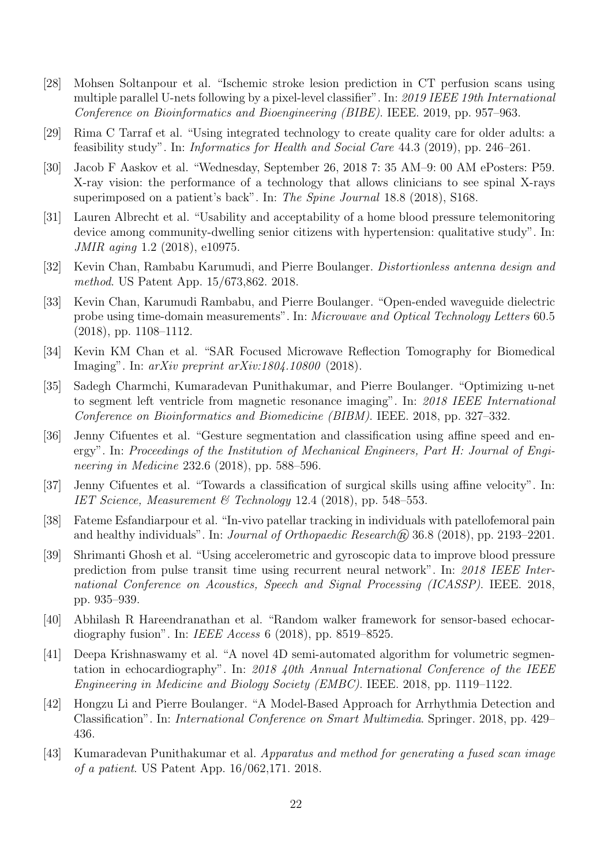- [28] Mohsen Soltanpour et al. "Ischemic stroke lesion prediction in CT perfusion scans using multiple parallel U-nets following by a pixel-level classifier". In: 2019 IEEE 19th International Conference on Bioinformatics and Bioengineering (BIBE). IEEE. 2019, pp. 957–963.
- [29] Rima C Tarraf et al. "Using integrated technology to create quality care for older adults: a feasibility study". In: Informatics for Health and Social Care 44.3 (2019), pp. 246–261.
- [30] Jacob F Aaskov et al. "Wednesday, September 26, 2018 7: 35 AM–9: 00 AM ePosters: P59. X-ray vision: the performance of a technology that allows clinicians to see spinal X-rays superimposed on a patient's back". In: The Spine Journal 18.8 (2018), S168.
- [31] Lauren Albrecht et al. "Usability and acceptability of a home blood pressure telemonitoring device among community-dwelling senior citizens with hypertension: qualitative study". In: JMIR aging 1.2 (2018), e10975.
- [32] Kevin Chan, Rambabu Karumudi, and Pierre Boulanger. Distortionless antenna design and method. US Patent App. 15/673,862. 2018.
- [33] Kevin Chan, Karumudi Rambabu, and Pierre Boulanger. "Open-ended waveguide dielectric probe using time-domain measurements". In: Microwave and Optical Technology Letters 60.5 (2018), pp. 1108–1112.
- [34] Kevin KM Chan et al. "SAR Focused Microwave Reflection Tomography for Biomedical Imaging". In: arXiv preprint arXiv:1804.10800 (2018).
- [35] Sadegh Charmchi, Kumaradevan Punithakumar, and Pierre Boulanger. "Optimizing u-net to segment left ventricle from magnetic resonance imaging". In: 2018 IEEE International Conference on Bioinformatics and Biomedicine (BIBM). IEEE. 2018, pp. 327–332.
- [36] Jenny Cifuentes et al. "Gesture segmentation and classification using affine speed and energy". In: Proceedings of the Institution of Mechanical Engineers, Part H: Journal of Engineering in Medicine 232.6 (2018), pp. 588–596.
- [37] Jenny Cifuentes et al. "Towards a classification of surgical skills using affine velocity". In: IET Science, Measurement & Technology 12.4 (2018), pp. 548–553.
- [38] Fateme Esfandiarpour et al. "In-vivo patellar tracking in individuals with patellofemoral pain and healthy individuals". In: *Journal of Orthopaedic Research* $\widehat{R}$  36.8 (2018), pp. 2193–2201.
- [39] Shrimanti Ghosh et al. "Using accelerometric and gyroscopic data to improve blood pressure prediction from pulse transit time using recurrent neural network". In: 2018 IEEE International Conference on Acoustics, Speech and Signal Processing (ICASSP). IEEE. 2018, pp. 935–939.
- [40] Abhilash R Hareendranathan et al. "Random walker framework for sensor-based echocardiography fusion". In: IEEE Access 6 (2018), pp. 8519–8525.
- [41] Deepa Krishnaswamy et al. "A novel 4D semi-automated algorithm for volumetric segmentation in echocardiography". In: 2018 40th Annual International Conference of the IEEE Engineering in Medicine and Biology Society (EMBC). IEEE. 2018, pp. 1119–1122.
- [42] Hongzu Li and Pierre Boulanger. "A Model-Based Approach for Arrhythmia Detection and Classification". In: International Conference on Smart Multimedia. Springer. 2018, pp. 429– 436.
- [43] Kumaradevan Punithakumar et al. Apparatus and method for generating a fused scan image of a patient. US Patent App. 16/062,171. 2018.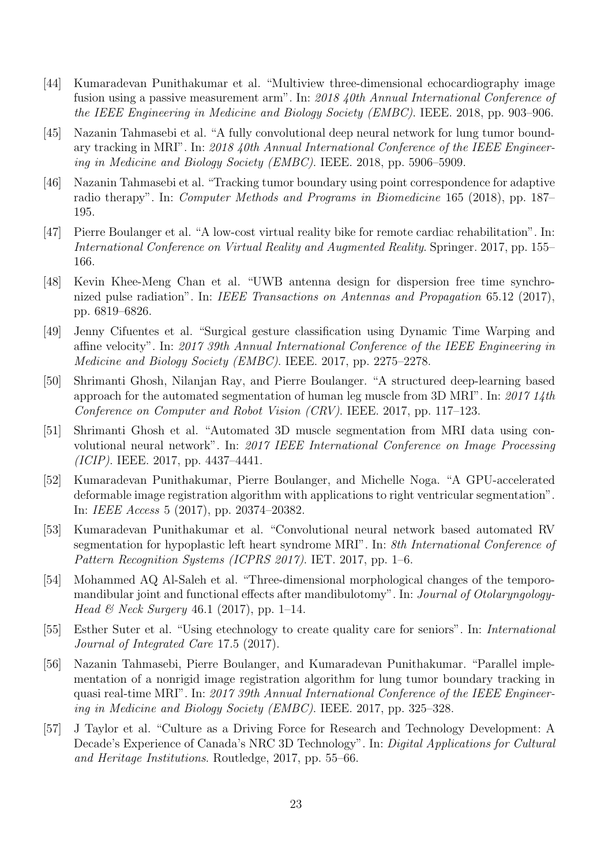- [44] Kumaradevan Punithakumar et al. "Multiview three-dimensional echocardiography image fusion using a passive measurement arm". In: 2018 40th Annual International Conference of the IEEE Engineering in Medicine and Biology Society (EMBC). IEEE. 2018, pp. 903–906.
- [45] Nazanin Tahmasebi et al. "A fully convolutional deep neural network for lung tumor boundary tracking in MRI". In: 2018 40th Annual International Conference of the IEEE Engineering in Medicine and Biology Society (EMBC). IEEE. 2018, pp. 5906–5909.
- [46] Nazanin Tahmasebi et al. "Tracking tumor boundary using point correspondence for adaptive radio therapy". In: Computer Methods and Programs in Biomedicine 165 (2018), pp. 187– 195.
- [47] Pierre Boulanger et al. "A low-cost virtual reality bike for remote cardiac rehabilitation". In: International Conference on Virtual Reality and Augmented Reality. Springer. 2017, pp. 155– 166.
- [48] Kevin Khee-Meng Chan et al. "UWB antenna design for dispersion free time synchronized pulse radiation". In: IEEE Transactions on Antennas and Propagation 65.12 (2017), pp. 6819–6826.
- [49] Jenny Cifuentes et al. "Surgical gesture classification using Dynamic Time Warping and affine velocity". In: 2017 39th Annual International Conference of the IEEE Engineering in Medicine and Biology Society (EMBC). IEEE. 2017, pp. 2275–2278.
- [50] Shrimanti Ghosh, Nilanjan Ray, and Pierre Boulanger. "A structured deep-learning based approach for the automated segmentation of human leg muscle from 3D MRI". In: 2017 14th Conference on Computer and Robot Vision (CRV). IEEE. 2017, pp. 117–123.
- [51] Shrimanti Ghosh et al. "Automated 3D muscle segmentation from MRI data using convolutional neural network". In: 2017 IEEE International Conference on Image Processing (ICIP). IEEE. 2017, pp. 4437–4441.
- [52] Kumaradevan Punithakumar, Pierre Boulanger, and Michelle Noga. "A GPU-accelerated deformable image registration algorithm with applications to right ventricular segmentation". In: IEEE Access 5 (2017), pp. 20374–20382.
- [53] Kumaradevan Punithakumar et al. "Convolutional neural network based automated RV segmentation for hypoplastic left heart syndrome MRI". In: 8th International Conference of Pattern Recognition Systems (ICPRS 2017). IET. 2017, pp. 1–6.
- [54] Mohammed AQ Al-Saleh et al. "Three-dimensional morphological changes of the temporomandibular joint and functional effects after mandibulotomy". In: Journal of Otolaryngology-*Head & Neck Surgery* 46.1 (2017), pp. 1–14.
- [55] Esther Suter et al. "Using etechnology to create quality care for seniors". In: International Journal of Integrated Care 17.5 (2017).
- [56] Nazanin Tahmasebi, Pierre Boulanger, and Kumaradevan Punithakumar. "Parallel implementation of a nonrigid image registration algorithm for lung tumor boundary tracking in quasi real-time MRI". In: 2017 39th Annual International Conference of the IEEE Engineering in Medicine and Biology Society (EMBC). IEEE. 2017, pp. 325–328.
- [57] J Taylor et al. "Culture as a Driving Force for Research and Technology Development: A Decade's Experience of Canada's NRC 3D Technology". In: Digital Applications for Cultural and Heritage Institutions. Routledge, 2017, pp. 55–66.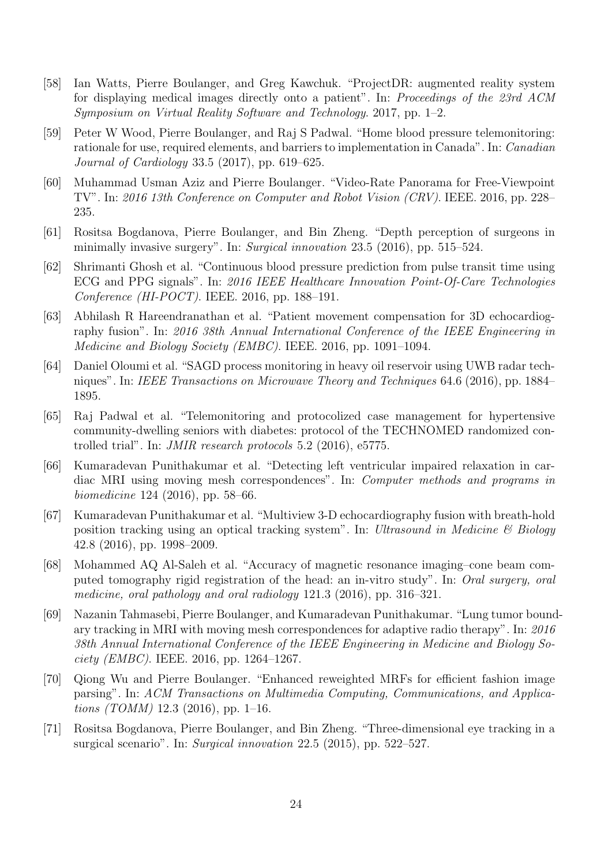- [58] Ian Watts, Pierre Boulanger, and Greg Kawchuk. "ProjectDR: augmented reality system for displaying medical images directly onto a patient". In: Proceedings of the 23rd ACM Symposium on Virtual Reality Software and Technology. 2017, pp. 1–2.
- [59] Peter W Wood, Pierre Boulanger, and Raj S Padwal. "Home blood pressure telemonitoring: rationale for use, required elements, and barriers to implementation in Canada". In: Canadian Journal of Cardiology 33.5 (2017), pp. 619–625.
- [60] Muhammad Usman Aziz and Pierre Boulanger. "Video-Rate Panorama for Free-Viewpoint TV". In: 2016 13th Conference on Computer and Robot Vision (CRV). IEEE. 2016, pp. 228– 235.
- [61] Rositsa Bogdanova, Pierre Boulanger, and Bin Zheng. "Depth perception of surgeons in minimally invasive surgery". In: Surgical innovation 23.5 (2016), pp. 515–524.
- [62] Shrimanti Ghosh et al. "Continuous blood pressure prediction from pulse transit time using ECG and PPG signals". In: 2016 IEEE Healthcare Innovation Point-Of-Care Technologies Conference (HI-POCT). IEEE. 2016, pp. 188–191.
- [63] Abhilash R Hareendranathan et al. "Patient movement compensation for 3D echocardiography fusion". In: 2016 38th Annual International Conference of the IEEE Engineering in Medicine and Biology Society (EMBC). IEEE. 2016, pp. 1091–1094.
- [64] Daniel Oloumi et al. "SAGD process monitoring in heavy oil reservoir using UWB radar techniques". In: IEEE Transactions on Microwave Theory and Techniques 64.6 (2016), pp. 1884– 1895.
- [65] Raj Padwal et al. "Telemonitoring and protocolized case management for hypertensive community-dwelling seniors with diabetes: protocol of the TECHNOMED randomized controlled trial". In: JMIR research protocols 5.2 (2016), e5775.
- [66] Kumaradevan Punithakumar et al. "Detecting left ventricular impaired relaxation in cardiac MRI using moving mesh correspondences". In: Computer methods and programs in biomedicine 124 (2016), pp. 58–66.
- [67] Kumaradevan Punithakumar et al. "Multiview 3-D echocardiography fusion with breath-hold position tracking using an optical tracking system". In: Ultrasound in Medicine & Biology 42.8 (2016), pp. 1998–2009.
- [68] Mohammed AQ Al-Saleh et al. "Accuracy of magnetic resonance imaging–cone beam computed tomography rigid registration of the head: an in-vitro study". In: Oral surgery, oral medicine, oral pathology and oral radiology 121.3 (2016), pp. 316–321.
- [69] Nazanin Tahmasebi, Pierre Boulanger, and Kumaradevan Punithakumar. "Lung tumor boundary tracking in MRI with moving mesh correspondences for adaptive radio therapy". In: 2016 38th Annual International Conference of the IEEE Engineering in Medicine and Biology So*ciety (EMBC)*. IEEE. 2016, pp. 1264–1267.
- [70] Qiong Wu and Pierre Boulanger. "Enhanced reweighted MRFs for efficient fashion image parsing". In: ACM Transactions on Multimedia Computing, Communications, and Applications (TOMM) 12.3 (2016), pp. 1–16.
- [71] Rositsa Bogdanova, Pierre Boulanger, and Bin Zheng. "Three-dimensional eye tracking in a surgical scenario". In: Surgical innovation 22.5 (2015), pp. 522–527.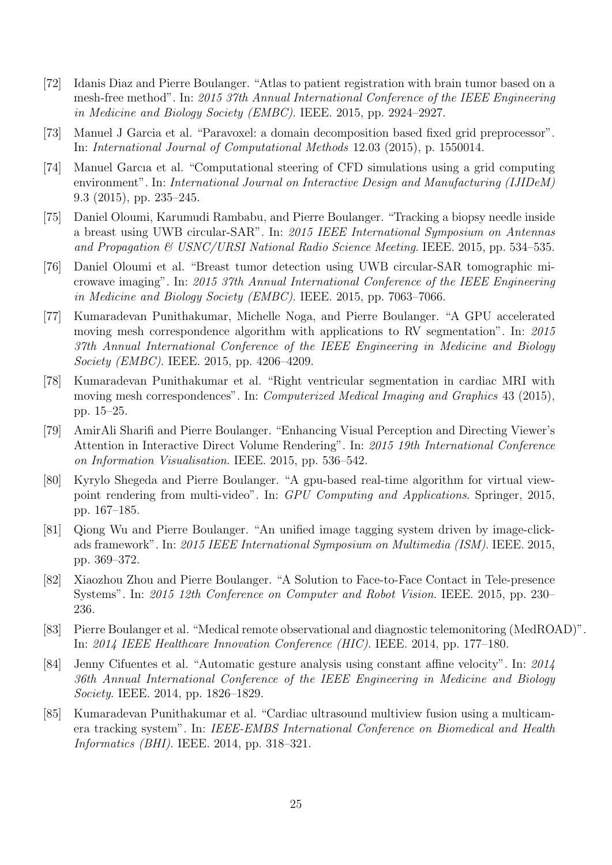- [72] Idanis Diaz and Pierre Boulanger. "Atlas to patient registration with brain tumor based on a mesh-free method". In: 2015 37th Annual International Conference of the IEEE Engineering in Medicine and Biology Society (EMBC). IEEE. 2015, pp. 2924–2927.
- [73] Manuel J Garcia et al. "Paravoxel: a domain decomposition based fixed grid preprocessor". In: International Journal of Computational Methods 12.03 (2015), p. 1550014.
- [74] Manuel Garcıa et al. "Computational steering of CFD simulations using a grid computing environment". In: International Journal on Interactive Design and Manufacturing (IJIDeM) 9.3 (2015), pp. 235–245.
- [75] Daniel Oloumi, Karumudi Rambabu, and Pierre Boulanger. "Tracking a biopsy needle inside a breast using UWB circular-SAR". In: 2015 IEEE International Symposium on Antennas and Propagation  $\&$  USNC/URSI National Radio Science Meeting. IEEE. 2015, pp. 534–535.
- [76] Daniel Oloumi et al. "Breast tumor detection using UWB circular-SAR tomographic microwave imaging". In: 2015 37th Annual International Conference of the IEEE Engineering in Medicine and Biology Society (EMBC). IEEE. 2015, pp. 7063–7066.
- [77] Kumaradevan Punithakumar, Michelle Noga, and Pierre Boulanger. "A GPU accelerated moving mesh correspondence algorithm with applications to RV segmentation". In: 2015 37th Annual International Conference of the IEEE Engineering in Medicine and Biology Society (EMBC). IEEE. 2015, pp. 4206–4209.
- [78] Kumaradevan Punithakumar et al. "Right ventricular segmentation in cardiac MRI with moving mesh correspondences". In: Computerized Medical Imaging and Graphics 43 (2015), pp. 15–25.
- [79] AmirAli Sharifi and Pierre Boulanger. "Enhancing Visual Perception and Directing Viewer's Attention in Interactive Direct Volume Rendering". In: 2015 19th International Conference on Information Visualisation. IEEE. 2015, pp. 536–542.
- [80] Kyrylo Shegeda and Pierre Boulanger. "A gpu-based real-time algorithm for virtual viewpoint rendering from multi-video". In: GPU Computing and Applications. Springer, 2015, pp. 167–185.
- [81] Qiong Wu and Pierre Boulanger. "An unified image tagging system driven by image-clickads framework". In: 2015 IEEE International Symposium on Multimedia (ISM). IEEE. 2015, pp. 369–372.
- [82] Xiaozhou Zhou and Pierre Boulanger. "A Solution to Face-to-Face Contact in Tele-presence Systems". In: 2015 12th Conference on Computer and Robot Vision. IEEE. 2015, pp. 230– 236.
- [83] Pierre Boulanger et al. "Medical remote observational and diagnostic telemonitoring (MedROAD)". In: 2014 IEEE Healthcare Innovation Conference (HIC). IEEE. 2014, pp. 177–180.
- [84] Jenny Cifuentes et al. "Automatic gesture analysis using constant affine velocity". In: 2014 36th Annual International Conference of the IEEE Engineering in Medicine and Biology Society. IEEE. 2014, pp. 1826–1829.
- [85] Kumaradevan Punithakumar et al. "Cardiac ultrasound multiview fusion using a multicamera tracking system". In: IEEE-EMBS International Conference on Biomedical and Health Informatics (BHI). IEEE. 2014, pp. 318–321.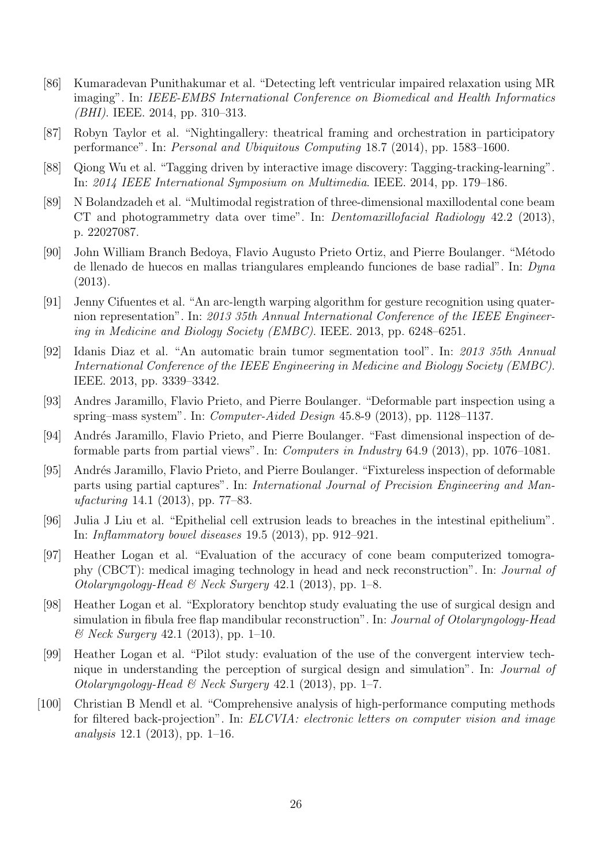- [86] Kumaradevan Punithakumar et al. "Detecting left ventricular impaired relaxation using MR imaging". In: IEEE-EMBS International Conference on Biomedical and Health Informatics (BHI). IEEE. 2014, pp. 310–313.
- [87] Robyn Taylor et al. "Nightingallery: theatrical framing and orchestration in participatory performance". In: Personal and Ubiquitous Computing 18.7 (2014), pp. 1583–1600.
- [88] Qiong Wu et al. "Tagging driven by interactive image discovery: Tagging-tracking-learning". In: 2014 IEEE International Symposium on Multimedia. IEEE. 2014, pp. 179–186.
- [89] N Bolandzadeh et al. "Multimodal registration of three-dimensional maxillodental cone beam CT and photogrammetry data over time". In: Dentomaxillofacial Radiology 42.2 (2013), p. 22027087.
- [90] John William Branch Bedoya, Flavio Augusto Prieto Ortiz, and Pierre Boulanger. "Método de llenado de huecos en mallas triangulares empleando funciones de base radial". In: Dyna (2013).
- [91] Jenny Cifuentes et al. "An arc-length warping algorithm for gesture recognition using quaternion representation". In: 2013 35th Annual International Conference of the IEEE Engineering in Medicine and Biology Society (EMBC). IEEE. 2013, pp. 6248–6251.
- [92] Idanis Diaz et al. "An automatic brain tumor segmentation tool". In: 2013 35th Annual International Conference of the IEEE Engineering in Medicine and Biology Society (EMBC). IEEE. 2013, pp. 3339–3342.
- [93] Andres Jaramillo, Flavio Prieto, and Pierre Boulanger. "Deformable part inspection using a spring–mass system". In: Computer-Aided Design 45.8-9 (2013), pp. 1128–1137.
- [94] Andrés Jaramillo, Flavio Prieto, and Pierre Boulanger. "Fast dimensional inspection of deformable parts from partial views". In: Computers in Industry 64.9 (2013), pp. 1076–1081.
- [95] Andrés Jaramillo, Flavio Prieto, and Pierre Boulanger. "Fixtureless inspection of deformable parts using partial captures". In: International Journal of Precision Engineering and Manufacturing 14.1 (2013), pp. 77–83.
- [96] Julia J Liu et al. "Epithelial cell extrusion leads to breaches in the intestinal epithelium". In: Inflammatory bowel diseases 19.5 (2013), pp. 912–921.
- [97] Heather Logan et al. "Evaluation of the accuracy of cone beam computerized tomography (CBCT): medical imaging technology in head and neck reconstruction". In: Journal of Otolaryngology-Head & Neck Surgery 42.1 (2013), pp. 1–8.
- [98] Heather Logan et al. "Exploratory benchtop study evaluating the use of surgical design and simulation in fibula free flap mandibular reconstruction". In: Journal of Otolaryngology-Head & Neck Surgery 42.1 (2013), pp. 1–10.
- [99] Heather Logan et al. "Pilot study: evaluation of the use of the convergent interview technique in understanding the perception of surgical design and simulation". In: Journal of Otolaryngology-Head & Neck Surgery 42.1 (2013), pp. 1–7.
- [100] Christian B Mendl et al. "Comprehensive analysis of high-performance computing methods for filtered back-projection". In: ELCVIA: electronic letters on computer vision and image analysis 12.1 (2013), pp. 1–16.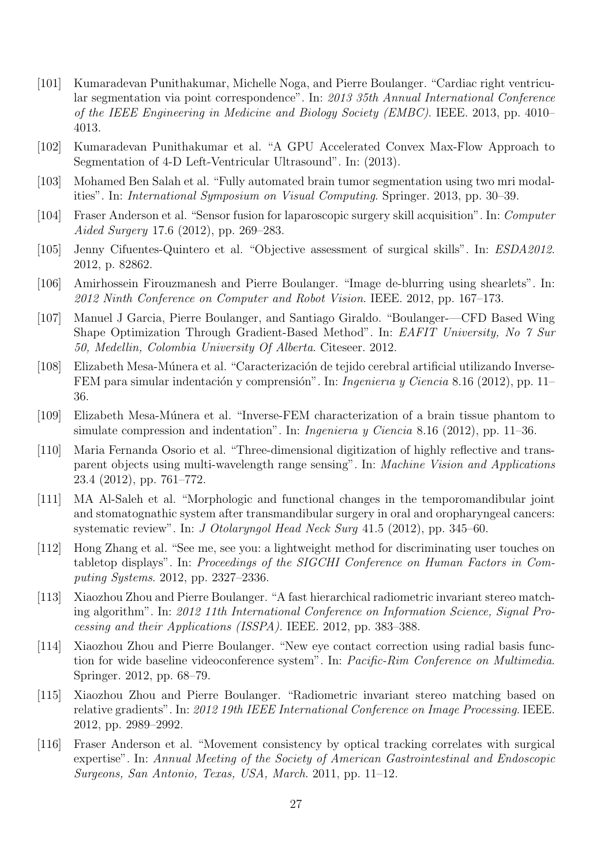- [101] Kumaradevan Punithakumar, Michelle Noga, and Pierre Boulanger. "Cardiac right ventricular segmentation via point correspondence". In: 2013 35th Annual International Conference of the IEEE Engineering in Medicine and Biology Society (EMBC). IEEE. 2013, pp. 4010– 4013.
- [102] Kumaradevan Punithakumar et al. "A GPU Accelerated Convex Max-Flow Approach to Segmentation of 4-D Left-Ventricular Ultrasound". In: (2013).
- [103] Mohamed Ben Salah et al. "Fully automated brain tumor segmentation using two mri modalities". In: International Symposium on Visual Computing. Springer. 2013, pp. 30–39.
- [104] Fraser Anderson et al. "Sensor fusion for laparoscopic surgery skill acquisition". In: Computer Aided Surgery 17.6 (2012), pp. 269–283.
- [105] Jenny Cifuentes-Quintero et al. "Objective assessment of surgical skills". In: ESDA2012. 2012, p. 82862.
- [106] Amirhossein Firouzmanesh and Pierre Boulanger. "Image de-blurring using shearlets". In: 2012 Ninth Conference on Computer and Robot Vision. IEEE. 2012, pp. 167–173.
- [107] Manuel J Garcia, Pierre Boulanger, and Santiago Giraldo. "Boulanger-—CFD Based Wing Shape Optimization Through Gradient-Based Method". In: EAFIT University, No 7 Sur 50, Medellin, Colombia University Of Alberta. Citeseer. 2012.
- [108] Elizabeth Mesa-Múnera et al. "Caracterización de tejido cerebral artificial utilizando Inverse-FEM para simular indentación y comprensión". In: *Ingenieria y Ciencia* 8.16 (2012), pp. 11– 36.
- [109] Elizabeth Mesa-M´unera et al. "Inverse-FEM characterization of a brain tissue phantom to simulate compression and indentation". In: *Ingenieria y Ciencia* 8.16 (2012), pp. 11–36.
- [110] Maria Fernanda Osorio et al. "Three-dimensional digitization of highly reflective and transparent objects using multi-wavelength range sensing". In: Machine Vision and Applications 23.4 (2012), pp. 761–772.
- [111] MA Al-Saleh et al. "Morphologic and functional changes in the temporomandibular joint and stomatognathic system after transmandibular surgery in oral and oropharyngeal cancers: systematic review". In: J Otolaryngol Head Neck Surg 41.5 (2012), pp. 345–60.
- [112] Hong Zhang et al. "See me, see you: a lightweight method for discriminating user touches on tabletop displays". In: Proceedings of the SIGCHI Conference on Human Factors in Computing Systems. 2012, pp. 2327–2336.
- [113] Xiaozhou Zhou and Pierre Boulanger. "A fast hierarchical radiometric invariant stereo matching algorithm". In: 2012 11th International Conference on Information Science, Signal Processing and their Applications (ISSPA). IEEE. 2012, pp. 383–388.
- [114] Xiaozhou Zhou and Pierre Boulanger. "New eye contact correction using radial basis function for wide baseline videoconference system". In: Pacific-Rim Conference on Multimedia. Springer. 2012, pp. 68–79.
- [115] Xiaozhou Zhou and Pierre Boulanger. "Radiometric invariant stereo matching based on relative gradients". In: 2012 19th IEEE International Conference on Image Processing. IEEE. 2012, pp. 2989–2992.
- [116] Fraser Anderson et al. "Movement consistency by optical tracking correlates with surgical expertise". In: Annual Meeting of the Society of American Gastrointestinal and Endoscopic Surgeons, San Antonio, Texas, USA, March. 2011, pp. 11–12.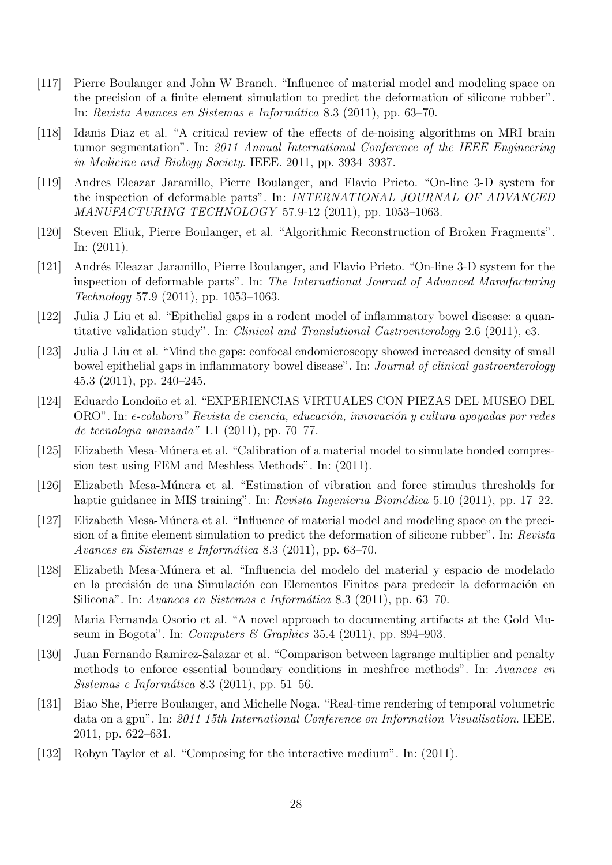- [117] Pierre Boulanger and John W Branch. "Influence of material model and modeling space on the precision of a finite element simulation to predict the deformation of silicone rubber". In: Revista Avances en Sistemas e Informática 8.3 (2011), pp. 63–70.
- [118] Idanis Diaz et al. "A critical review of the effects of de-noising algorithms on MRI brain tumor segmentation". In: 2011 Annual International Conference of the IEEE Engineering in Medicine and Biology Society. IEEE. 2011, pp. 3934–3937.
- [119] Andres Eleazar Jaramillo, Pierre Boulanger, and Flavio Prieto. "On-line 3-D system for the inspection of deformable parts". In: INTERNATIONAL JOURNAL OF ADVANCED MANUFACTURING TECHNOLOGY 57.9-12 (2011), pp. 1053–1063.
- [120] Steven Eliuk, Pierre Boulanger, et al. "Algorithmic Reconstruction of Broken Fragments". In: (2011).
- [121] Andrés Eleazar Jaramillo, Pierre Boulanger, and Flavio Prieto. "On-line 3-D system for the inspection of deformable parts". In: The International Journal of Advanced Manufacturing Technology 57.9 (2011), pp. 1053–1063.
- [122] Julia J Liu et al. "Epithelial gaps in a rodent model of inflammatory bowel disease: a quantitative validation study". In: Clinical and Translational Gastroenterology 2.6 (2011), e3.
- [123] Julia J Liu et al. "Mind the gaps: confocal endomicroscopy showed increased density of small bowel epithelial gaps in inflammatory bowel disease". In: Journal of clinical gastroenterology 45.3 (2011), pp. 240–245.
- [124] Eduardo Londoño et al. "EXPERIENCIAS VIRTUALES CON PIEZAS DEL MUSEO DEL ORO". In: e-colabora" Revista de ciencia, educación, innovación y cultura apoyadas por redes de tecnologıa avanzada" 1.1 (2011), pp. 70–77.
- [125] Elizabeth Mesa-Múnera et al. "Calibration of a material model to simulate bonded compression test using FEM and Meshless Methods". In: (2011).
- [126] Elizabeth Mesa-Múnera et al. "Estimation of vibration and force stimulus thresholds for haptic guidance in MIS training". In: Revista Ingenieria Biomédica 5.10 (2011), pp. 17–22.
- [127] Elizabeth Mesa-Múnera et al. "Influence of material model and modeling space on the precision of a finite element simulation to predict the deformation of silicone rubber". In: Revista Avances en Sistemas e Informática 8.3 (2011), pp. 63–70.
- [128] Elizabeth Mesa-Múnera et al. "Influencia del modelo del material y espacio de modelado en la precisión de una Simulación con Elementos Finitos para predecir la deformación en Silicona". In: Avances en Sistemas e Informática 8.3 (2011), pp. 63–70.
- [129] Maria Fernanda Osorio et al. "A novel approach to documenting artifacts at the Gold Museum in Bogota". In: Computers & Graphics 35.4 (2011), pp. 894–903.
- [130] Juan Fernando Ramirez-Salazar et al. "Comparison between lagrange multiplier and penalty methods to enforce essential boundary conditions in meshfree methods". In: Avances en  $Sistemas e Informática 8.3 (2011), pp. 51–56.$
- [131] Biao She, Pierre Boulanger, and Michelle Noga. "Real-time rendering of temporal volumetric data on a gpu". In: 2011 15th International Conference on Information Visualisation. IEEE. 2011, pp. 622–631.
- [132] Robyn Taylor et al. "Composing for the interactive medium". In: (2011).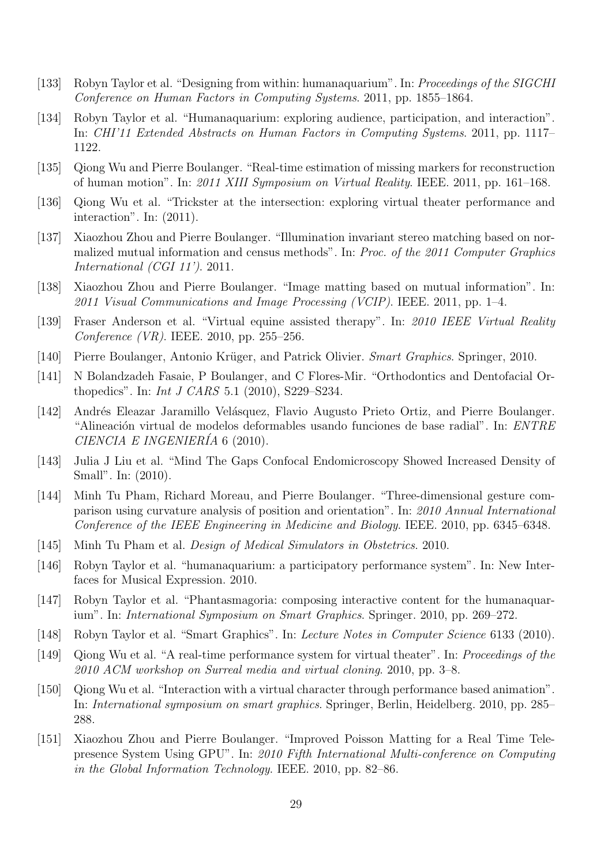- [133] Robyn Taylor et al. "Designing from within: humanaquarium". In: Proceedings of the SIGCHI Conference on Human Factors in Computing Systems. 2011, pp. 1855–1864.
- [134] Robyn Taylor et al. "Humanaquarium: exploring audience, participation, and interaction". In: CHI'11 Extended Abstracts on Human Factors in Computing Systems. 2011, pp. 1117– 1122.
- [135] Qiong Wu and Pierre Boulanger. "Real-time estimation of missing markers for reconstruction of human motion". In: 2011 XIII Symposium on Virtual Reality. IEEE. 2011, pp. 161–168.
- [136] Qiong Wu et al. "Trickster at the intersection: exploring virtual theater performance and interaction". In: (2011).
- [137] Xiaozhou Zhou and Pierre Boulanger. "Illumination invariant stereo matching based on normalized mutual information and census methods". In: Proc. of the 2011 Computer Graphics International (CGI 11'). 2011.
- [138] Xiaozhou Zhou and Pierre Boulanger. "Image matting based on mutual information". In: 2011 Visual Communications and Image Processing (VCIP). IEEE. 2011, pp. 1–4.
- [139] Fraser Anderson et al. "Virtual equine assisted therapy". In: 2010 IEEE Virtual Reality Conference (VR). IEEE. 2010, pp. 255–256.
- [140] Pierre Boulanger, Antonio Krüger, and Patrick Olivier. Smart Graphics. Springer, 2010.
- [141] N Bolandzadeh Fasaie, P Boulanger, and C Flores-Mir. "Orthodontics and Dentofacial Orthopedics". In: Int J CARS 5.1 (2010), S229–S234.
- [142] Andrés Eleazar Jaramillo Velásquez, Flavio Augusto Prieto Ortiz, and Pierre Boulanger. "Alineación virtual de modelos deformables usando funciones de base radial". In:  $ENTER$ CIENCIA E INGENIERÍA 6  $(2010)$ .
- [143] Julia J Liu et al. "Mind The Gaps Confocal Endomicroscopy Showed Increased Density of Small". In: (2010).
- [144] Minh Tu Pham, Richard Moreau, and Pierre Boulanger. "Three-dimensional gesture comparison using curvature analysis of position and orientation". In: 2010 Annual International Conference of the IEEE Engineering in Medicine and Biology. IEEE. 2010, pp. 6345–6348.
- [145] Minh Tu Pham et al. Design of Medical Simulators in Obstetrics. 2010.
- [146] Robyn Taylor et al. "humanaquarium: a participatory performance system". In: New Interfaces for Musical Expression. 2010.
- [147] Robyn Taylor et al. "Phantasmagoria: composing interactive content for the humanaquarium". In: International Symposium on Smart Graphics. Springer. 2010, pp. 269–272.
- [148] Robyn Taylor et al. "Smart Graphics". In: Lecture Notes in Computer Science 6133 (2010).
- [149] Qiong Wu et al. "A real-time performance system for virtual theater". In: Proceedings of the 2010 ACM workshop on Surreal media and virtual cloning. 2010, pp. 3–8.
- [150] Qiong Wu et al. "Interaction with a virtual character through performance based animation". In: International symposium on smart graphics. Springer, Berlin, Heidelberg. 2010, pp. 285– 288.
- [151] Xiaozhou Zhou and Pierre Boulanger. "Improved Poisson Matting for a Real Time Telepresence System Using GPU". In: 2010 Fifth International Multi-conference on Computing in the Global Information Technology. IEEE. 2010, pp. 82–86.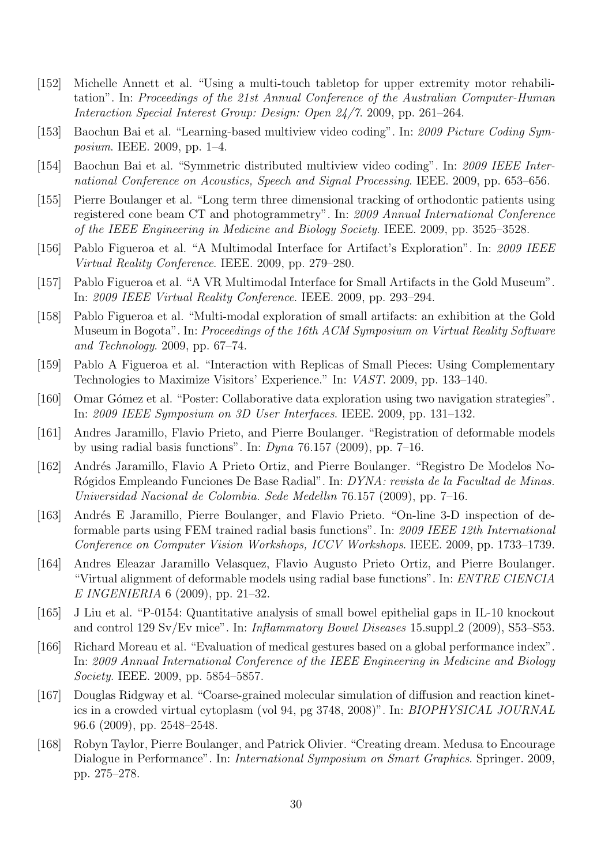- [152] Michelle Annett et al. "Using a multi-touch tabletop for upper extremity motor rehabilitation". In: Proceedings of the 21st Annual Conference of the Australian Computer-Human Interaction Special Interest Group: Design: Open 24/7. 2009, pp. 261–264.
- [153] Baochun Bai et al. "Learning-based multiview video coding". In: 2009 Picture Coding Symposium. IEEE. 2009, pp. 1–4.
- [154] Baochun Bai et al. "Symmetric distributed multiview video coding". In: 2009 IEEE International Conference on Acoustics, Speech and Signal Processing. IEEE. 2009, pp. 653–656.
- [155] Pierre Boulanger et al. "Long term three dimensional tracking of orthodontic patients using registered cone beam CT and photogrammetry". In: 2009 Annual International Conference of the IEEE Engineering in Medicine and Biology Society. IEEE. 2009, pp. 3525–3528.
- [156] Pablo Figueroa et al. "A Multimodal Interface for Artifact's Exploration". In: 2009 IEEE Virtual Reality Conference. IEEE. 2009, pp. 279–280.
- [157] Pablo Figueroa et al. "A VR Multimodal Interface for Small Artifacts in the Gold Museum". In: 2009 IEEE Virtual Reality Conference. IEEE. 2009, pp. 293–294.
- [158] Pablo Figueroa et al. "Multi-modal exploration of small artifacts: an exhibition at the Gold Museum in Bogota". In: Proceedings of the 16th ACM Symposium on Virtual Reality Software and Technology. 2009, pp. 67–74.
- [159] Pablo A Figueroa et al. "Interaction with Replicas of Small Pieces: Using Complementary Technologies to Maximize Visitors' Experience." In: VAST. 2009, pp. 133–140.
- [160] Omar Gómez et al. "Poster: Collaborative data exploration using two navigation strategies". In: 2009 IEEE Symposium on 3D User Interfaces. IEEE. 2009, pp. 131–132.
- [161] Andres Jaramillo, Flavio Prieto, and Pierre Boulanger. "Registration of deformable models by using radial basis functions". In:  $Dyna$  76.157 (2009), pp. 7–16.
- [162] Andrés Jaramillo, Flavio A Prieto Ortiz, and Pierre Boulanger. "Registro De Modelos No-Rógidos Empleando Funciones De Base Radial". In: *DYNA: revista de la Facultad de Minas.* Universidad Nacional de Colombia. Sede Medellın 76.157 (2009), pp. 7–16.
- [163] Andrés E Jaramillo, Pierre Boulanger, and Flavio Prieto. "On-line 3-D inspection of deformable parts using FEM trained radial basis functions". In: 2009 IEEE 12th International Conference on Computer Vision Workshops, ICCV Workshops. IEEE. 2009, pp. 1733–1739.
- [164] Andres Eleazar Jaramillo Velasquez, Flavio Augusto Prieto Ortiz, and Pierre Boulanger. "Virtual alignment of deformable models using radial base functions". In: ENTRE CIENCIA E INGENIERIA 6 (2009), pp. 21–32.
- [165] J Liu et al. "P-0154: Quantitative analysis of small bowel epithelial gaps in IL-10 knockout and control 129 Sv/Ev mice". In: *Inflammatory Bowel Diseases* 15.suppl 2 (2009), S53-S53.
- [166] Richard Moreau et al. "Evaluation of medical gestures based on a global performance index". In: 2009 Annual International Conference of the IEEE Engineering in Medicine and Biology Society. IEEE. 2009, pp. 5854–5857.
- [167] Douglas Ridgway et al. "Coarse-grained molecular simulation of diffusion and reaction kinetics in a crowded virtual cytoplasm (vol 94, pg 3748, 2008)". In: BIOPHYSICAL JOURNAL 96.6 (2009), pp. 2548–2548.
- [168] Robyn Taylor, Pierre Boulanger, and Patrick Olivier. "Creating dream. Medusa to Encourage Dialogue in Performance". In: *International Symposium on Smart Graphics*. Springer. 2009, pp. 275–278.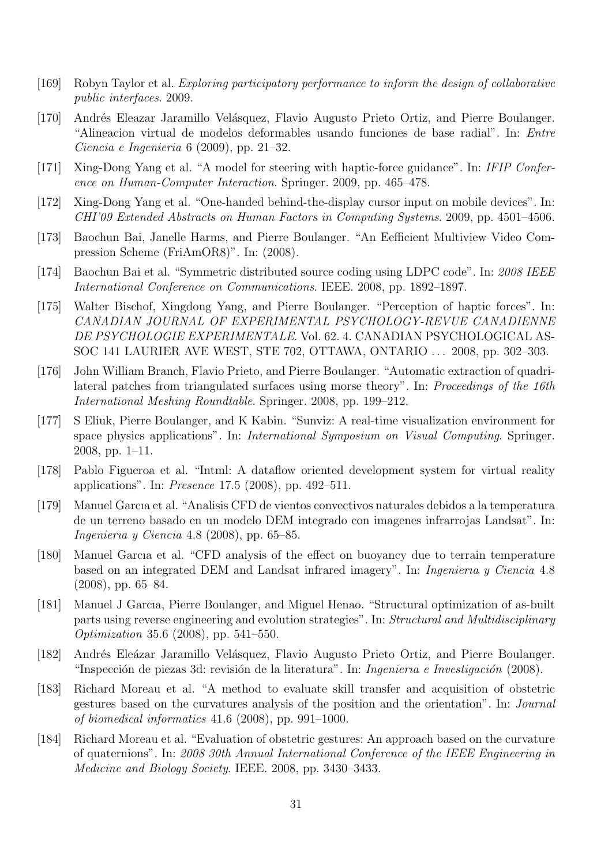- [169] Robyn Taylor et al. Exploring participatory performance to inform the design of collaborative public interfaces. 2009.
- [170] Andrés Eleazar Jaramillo Velásquez, Flavio Augusto Prieto Ortiz, and Pierre Boulanger. "Alineacion virtual de modelos deformables usando funciones de base radial". In: Entre Ciencia e Ingenieria 6 (2009), pp. 21–32.
- [171] Xing-Dong Yang et al. "A model for steering with haptic-force guidance". In: IFIP Conference on Human-Computer Interaction. Springer. 2009, pp. 465–478.
- [172] Xing-Dong Yang et al. "One-handed behind-the-display cursor input on mobile devices". In: CHI'09 Extended Abstracts on Human Factors in Computing Systems. 2009, pp. 4501–4506.
- [173] Baochun Bai, Janelle Harms, and Pierre Boulanger. "An Eefficient Multiview Video Compression Scheme (FriAmOR8)". In: (2008).
- [174] Baochun Bai et al. "Symmetric distributed source coding using LDPC code". In: 2008 IEEE International Conference on Communications. IEEE. 2008, pp. 1892–1897.
- [175] Walter Bischof, Xingdong Yang, and Pierre Boulanger. "Perception of haptic forces". In: CANADIAN JOURNAL OF EXPERIMENTAL PSYCHOLOGY-REVUE CANADIENNE DE PSYCHOLOGIE EXPERIMENTALE. Vol. 62. 4. CANADIAN PSYCHOLOGICAL AS-SOC 141 LAURIER AVE WEST, STE 702, OTTAWA, ONTARIO . . . 2008, pp. 302–303.
- [176] John William Branch, Flavio Prieto, and Pierre Boulanger. "Automatic extraction of quadrilateral patches from triangulated surfaces using morse theory". In: Proceedings of the 16th International Meshing Roundtable. Springer. 2008, pp. 199–212.
- [177] S Eliuk, Pierre Boulanger, and K Kabin. "Sunviz: A real-time visualization environment for space physics applications". In: International Symposium on Visual Computing. Springer. 2008, pp. 1–11.
- [178] Pablo Figueroa et al. "Intml: A dataflow oriented development system for virtual reality applications". In: Presence 17.5 (2008), pp. 492–511.
- [179] Manuel Garcıa et al. "Analisis CFD de vientos convectivos naturales debidos a la temperatura de un terreno basado en un modelo DEM integrado con imagenes infrarrojas Landsat". In: Ingenierıa y Ciencia 4.8 (2008), pp. 65–85.
- [180] Manuel Garcıa et al. "CFD analysis of the effect on buoyancy due to terrain temperature based on an integrated DEM and Landsat infrared imagery". In: Ingenierıa y Ciencia 4.8 (2008), pp. 65–84.
- [181] Manuel J Garcıa, Pierre Boulanger, and Miguel Henao. "Structural optimization of as-built parts using reverse engineering and evolution strategies". In: Structural and Multidisciplinary Optimization 35.6 (2008), pp. 541–550.
- [182] Andrés Eleázar Jaramillo Velásquez, Flavio Augusto Prieto Ortiz, and Pierre Boulanger. "Inspección de piezas 3d: revisión de la literatura". In: *Ingenieria e Investigación* (2008).
- [183] Richard Moreau et al. "A method to evaluate skill transfer and acquisition of obstetric gestures based on the curvatures analysis of the position and the orientation". In: Journal of biomedical informatics 41.6 (2008), pp. 991–1000.
- [184] Richard Moreau et al. "Evaluation of obstetric gestures: An approach based on the curvature of quaternions". In: 2008 30th Annual International Conference of the IEEE Engineering in Medicine and Biology Society. IEEE. 2008, pp. 3430–3433.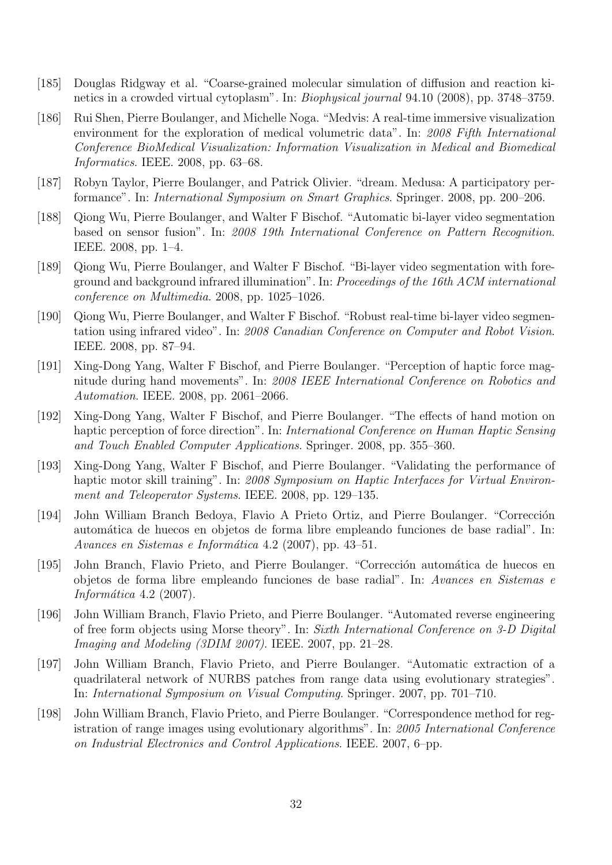- [185] Douglas Ridgway et al. "Coarse-grained molecular simulation of diffusion and reaction kinetics in a crowded virtual cytoplasm". In: Biophysical journal 94.10 (2008), pp. 3748–3759.
- [186] Rui Shen, Pierre Boulanger, and Michelle Noga. "Medvis: A real-time immersive visualization environment for the exploration of medical volumetric data". In: 2008 Fifth International Conference BioMedical Visualization: Information Visualization in Medical and Biomedical Informatics. IEEE. 2008, pp. 63–68.
- [187] Robyn Taylor, Pierre Boulanger, and Patrick Olivier. "dream. Medusa: A participatory performance". In: International Symposium on Smart Graphics. Springer. 2008, pp. 200–206.
- [188] Qiong Wu, Pierre Boulanger, and Walter F Bischof. "Automatic bi-layer video segmentation based on sensor fusion". In: 2008 19th International Conference on Pattern Recognition. IEEE. 2008, pp. 1–4.
- [189] Qiong Wu, Pierre Boulanger, and Walter F Bischof. "Bi-layer video segmentation with foreground and background infrared illumination". In: Proceedings of the 16th ACM international conference on Multimedia. 2008, pp. 1025–1026.
- [190] Qiong Wu, Pierre Boulanger, and Walter F Bischof. "Robust real-time bi-layer video segmentation using infrared video". In: 2008 Canadian Conference on Computer and Robot Vision. IEEE. 2008, pp. 87–94.
- [191] Xing-Dong Yang, Walter F Bischof, and Pierre Boulanger. "Perception of haptic force magnitude during hand movements". In: 2008 IEEE International Conference on Robotics and Automation. IEEE. 2008, pp. 2061–2066.
- [192] Xing-Dong Yang, Walter F Bischof, and Pierre Boulanger. "The effects of hand motion on haptic perception of force direction". In: *International Conference on Human Haptic Sensing* and Touch Enabled Computer Applications. Springer. 2008, pp. 355–360.
- [193] Xing-Dong Yang, Walter F Bischof, and Pierre Boulanger. "Validating the performance of haptic motor skill training". In: 2008 Symposium on Haptic Interfaces for Virtual Environment and Teleoperator Systems. IEEE. 2008, pp. 129–135.
- [194] John William Branch Bedoya, Flavio A Prieto Ortiz, and Pierre Boulanger. "Corrección" autom´atica de huecos en objetos de forma libre empleando funciones de base radial". In: Avances en Sistemas e Informática 4.2 (2007), pp. 43–51.
- [195] John Branch, Flavio Prieto, and Pierre Boulanger. "Corrección automática de huecos en objetos de forma libre empleando funciones de base radial". In: Avances en Sistemas e Informática  $4.2$  (2007).
- [196] John William Branch, Flavio Prieto, and Pierre Boulanger. "Automated reverse engineering of free form objects using Morse theory". In: Sixth International Conference on 3-D Digital Imaging and Modeling (3DIM 2007). IEEE. 2007, pp. 21–28.
- [197] John William Branch, Flavio Prieto, and Pierre Boulanger. "Automatic extraction of a quadrilateral network of NURBS patches from range data using evolutionary strategies". In: International Symposium on Visual Computing. Springer. 2007, pp. 701–710.
- [198] John William Branch, Flavio Prieto, and Pierre Boulanger. "Correspondence method for registration of range images using evolutionary algorithms". In: 2005 International Conference on Industrial Electronics and Control Applications. IEEE. 2007, 6–pp.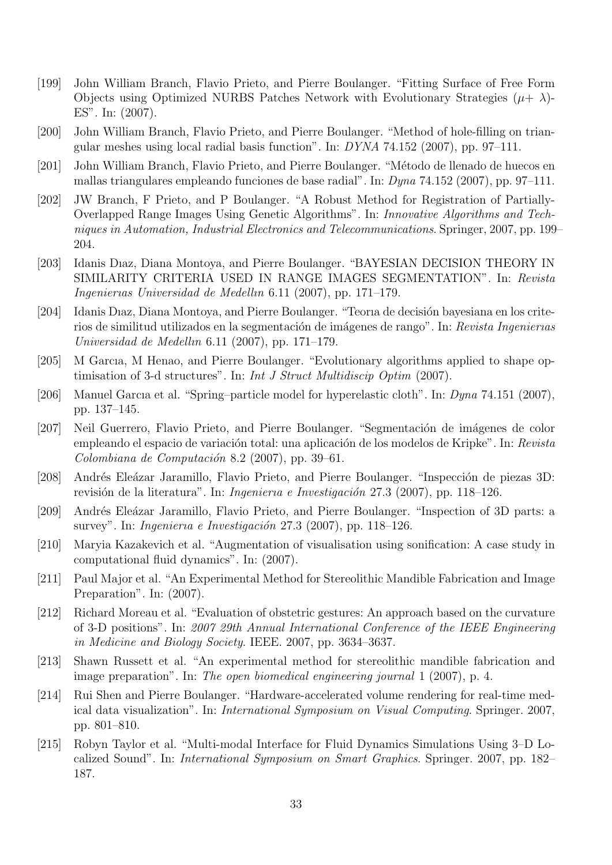- [199] John William Branch, Flavio Prieto, and Pierre Boulanger. "Fitting Surface of Free Form Objects using Optimized NURBS Patches Network with Evolutionary Strategies  $(\mu + \lambda)$ -ES". In: (2007).
- [200] John William Branch, Flavio Prieto, and Pierre Boulanger. "Method of hole-filling on triangular meshes using local radial basis function". In: DYNA 74.152 (2007), pp. 97–111.
- [201] John William Branch, Flavio Prieto, and Pierre Boulanger. "Método de llenado de huecos en mallas triangulares empleando funciones de base radial". In: Dyna 74.152 (2007), pp. 97–111.
- [202] JW Branch, F Prieto, and P Boulanger. "A Robust Method for Registration of Partially-Overlapped Range Images Using Genetic Algorithms". In: Innovative Algorithms and Techniques in Automation, Industrial Electronics and Telecommunications. Springer, 2007, pp. 199– 204.
- [203] Idanis Dıaz, Diana Montoya, and Pierre Boulanger. "BAYESIAN DECISION THEORY IN SIMILARITY CRITERIA USED IN RANGE IMAGES SEGMENTATION". In: Revista Ingenierıas Universidad de Medellın 6.11 (2007), pp. 171–179.
- [204] Idanis Diaz, Diana Montoya, and Pierre Boulanger. "Teoria de decisión bayesiana en los criterios de similitud utilizados en la segmentación de imágenes de rango". In: Revista Ingenierias Universidad de Medellın 6.11 (2007), pp. 171–179.
- [205] M Garcıa, M Henao, and Pierre Boulanger. "Evolutionary algorithms applied to shape optimisation of 3-d structures". In: Int J Struct Multidiscip Optim (2007).
- [206] Manuel Garcıa et al. "Spring–particle model for hyperelastic cloth". In: Dyna 74.151 (2007), pp. 137–145.
- [207] Neil Guerrero, Flavio Prieto, and Pierre Boulanger. "Segmentación de imágenes de color empleando el espacio de variación total: una aplicación de los modelos de Kripke". In: Revista  $Colombiana de Computación 8.2 (2007), pp. 39–61.$
- [208] Andrés Eleázar Jaramillo, Flavio Prieto, and Pierre Boulanger. "Inspección de piezas 3D: revisión de la literatura". In: *Ingenieria e Investigación* 27.3 (2007), pp. 118–126.
- [209] Andrés Eleázar Jaramillo, Flavio Prieto, and Pierre Boulanger. "Inspection of 3D parts: a survey". In: *Ingenieria e Investigación* 27.3 (2007), pp. 118–126.
- [210] Maryia Kazakevich et al. "Augmentation of visualisation using sonification: A case study in computational fluid dynamics". In: (2007).
- [211] Paul Major et al. "An Experimental Method for Stereolithic Mandible Fabrication and Image Preparation". In: (2007).
- [212] Richard Moreau et al. "Evaluation of obstetric gestures: An approach based on the curvature of 3-D positions". In: 2007 29th Annual International Conference of the IEEE Engineering in Medicine and Biology Society. IEEE. 2007, pp. 3634–3637.
- [213] Shawn Russett et al. "An experimental method for stereolithic mandible fabrication and image preparation". In: The open biomedical engineering journal 1 (2007), p. 4.
- [214] Rui Shen and Pierre Boulanger. "Hardware-accelerated volume rendering for real-time medical data visualization". In: International Symposium on Visual Computing. Springer. 2007, pp. 801–810.
- [215] Robyn Taylor et al. "Multi-modal Interface for Fluid Dynamics Simulations Using 3–D Localized Sound". In: International Symposium on Smart Graphics. Springer. 2007, pp. 182– 187.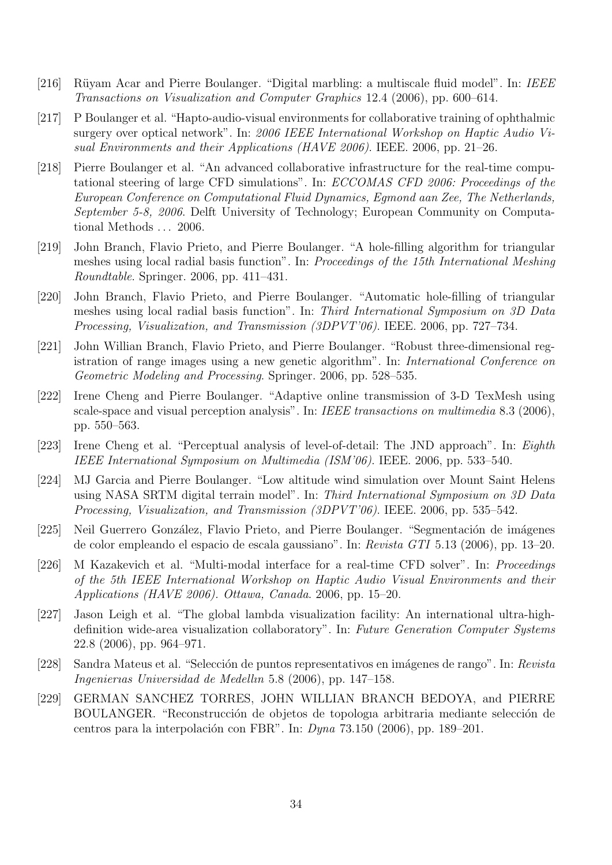- [216] Rüyam Acar and Pierre Boulanger. "Digital marbling: a multiscale fluid model". In: IEEE Transactions on Visualization and Computer Graphics 12.4 (2006), pp. 600–614.
- [217] P Boulanger et al. "Hapto-audio-visual environments for collaborative training of ophthalmic surgery over optical network". In: 2006 IEEE International Workshop on Haptic Audio Visual Environments and their Applications (HAVE 2006). IEEE. 2006, pp. 21–26.
- [218] Pierre Boulanger et al. "An advanced collaborative infrastructure for the real-time computational steering of large CFD simulations". In: ECCOMAS CFD 2006: Proceedings of the European Conference on Computational Fluid Dynamics, Egmond aan Zee, The Netherlands, September 5-8, 2006. Delft University of Technology; European Community on Computational Methods . . . 2006.
- [219] John Branch, Flavio Prieto, and Pierre Boulanger. "A hole-filling algorithm for triangular meshes using local radial basis function". In: Proceedings of the 15th International Meshing Roundtable. Springer. 2006, pp. 411–431.
- [220] John Branch, Flavio Prieto, and Pierre Boulanger. "Automatic hole-filling of triangular meshes using local radial basis function". In: Third International Symposium on 3D Data Processing, Visualization, and Transmission (3DPVT'06). IEEE. 2006, pp. 727–734.
- [221] John Willian Branch, Flavio Prieto, and Pierre Boulanger. "Robust three-dimensional registration of range images using a new genetic algorithm". In: International Conference on Geometric Modeling and Processing. Springer. 2006, pp. 528–535.
- [222] Irene Cheng and Pierre Boulanger. "Adaptive online transmission of 3-D TexMesh using scale-space and visual perception analysis". In: IEEE transactions on multimedia 8.3 (2006), pp. 550–563.
- [223] Irene Cheng et al. "Perceptual analysis of level-of-detail: The JND approach". In: Eighth IEEE International Symposium on Multimedia (ISM'06). IEEE. 2006, pp. 533–540.
- [224] MJ Garcia and Pierre Boulanger. "Low altitude wind simulation over Mount Saint Helens using NASA SRTM digital terrain model". In: Third International Symposium on 3D Data Processing, Visualization, and Transmission (3DPVT'06). IEEE. 2006, pp. 535–542.
- [225] Neil Guerrero González, Flavio Prieto, and Pierre Boulanger. "Segmentación de imágenes de color empleando el espacio de escala gaussiano". In: Revista GTI 5.13 (2006), pp. 13–20.
- [226] M Kazakevich et al. "Multi-modal interface for a real-time CFD solver". In: *Proceedings* of the 5th IEEE International Workshop on Haptic Audio Visual Environments and their Applications (HAVE 2006). Ottawa, Canada. 2006, pp. 15–20.
- [227] Jason Leigh et al. "The global lambda visualization facility: An international ultra-highdefinition wide-area visualization collaboratory". In: Future Generation Computer Systems 22.8 (2006), pp. 964–971.
- [228] Sandra Mateus et al. "Selección de puntos representativos en imágenes de rango". In: Revista Ingenierıas Universidad de Medellın 5.8 (2006), pp. 147–158.
- [229] GERMAN SANCHEZ TORRES, JOHN WILLIAN BRANCH BEDOYA, and PIERRE BOULANGER. "Reconstrucción de objetos de topologia arbitraria mediante selección de centros para la interpolación con FBR". In:  $Dyna$  73.150 (2006), pp. 189–201.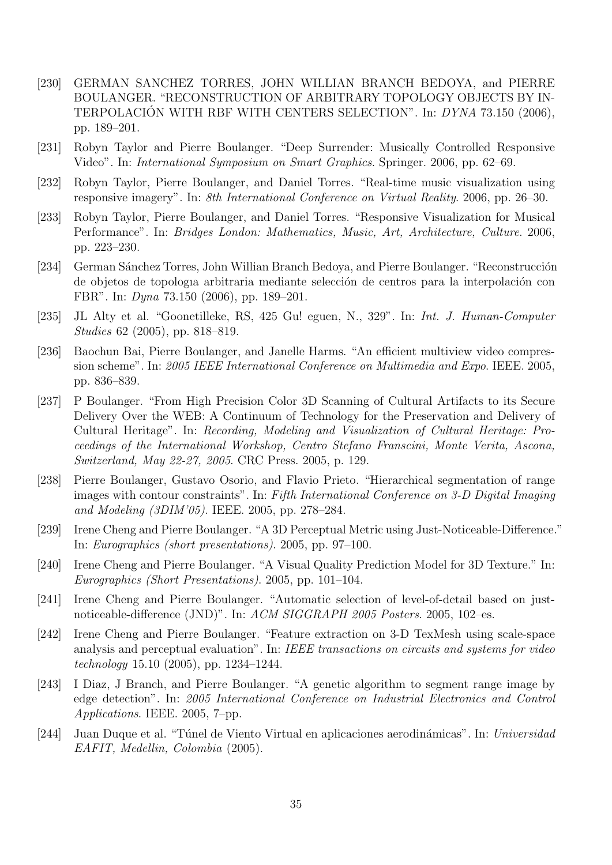- [230] GERMAN SANCHEZ TORRES, JOHN WILLIAN BRANCH BEDOYA, and PIERRE BOULANGER. "RECONSTRUCTION OF ARBITRARY TOPOLOGY OBJECTS BY IN-TERPOLACIÓN WITH RBF WITH CENTERS SELECTION". In: DYNA 73.150 (2006), pp. 189–201.
- [231] Robyn Taylor and Pierre Boulanger. "Deep Surrender: Musically Controlled Responsive Video". In: International Symposium on Smart Graphics. Springer. 2006, pp. 62–69.
- [232] Robyn Taylor, Pierre Boulanger, and Daniel Torres. "Real-time music visualization using responsive imagery". In: 8th International Conference on Virtual Reality. 2006, pp. 26–30.
- [233] Robyn Taylor, Pierre Boulanger, and Daniel Torres. "Responsive Visualization for Musical Performance". In: Bridges London: Mathematics, Music, Art, Architecture, Culture. 2006, pp. 223–230.
- [234] German Sánchez Torres, John Willian Branch Bedoya, and Pierre Boulanger. "Reconstrucción" de objetos de topologia arbitraria mediante selección de centros para la interpolación con FBR". In: Dyna 73.150 (2006), pp. 189–201.
- [235] JL Alty et al. "Goonetilleke, RS, 425 Gu! eguen, N., 329". In: Int. J. Human-Computer Studies 62 (2005), pp. 818–819.
- [236] Baochun Bai, Pierre Boulanger, and Janelle Harms. "An efficient multiview video compression scheme". In: 2005 IEEE International Conference on Multimedia and Expo. IEEE. 2005, pp. 836–839.
- [237] P Boulanger. "From High Precision Color 3D Scanning of Cultural Artifacts to its Secure Delivery Over the WEB: A Continuum of Technology for the Preservation and Delivery of Cultural Heritage". In: Recording, Modeling and Visualization of Cultural Heritage: Proceedings of the International Workshop, Centro Stefano Franscini, Monte Verita, Ascona, Switzerland, May 22-27, 2005. CRC Press. 2005, p. 129.
- [238] Pierre Boulanger, Gustavo Osorio, and Flavio Prieto. "Hierarchical segmentation of range images with contour constraints". In: Fifth International Conference on 3-D Digital Imaging and Modeling (3DIM'05). IEEE. 2005, pp. 278–284.
- [239] Irene Cheng and Pierre Boulanger. "A 3D Perceptual Metric using Just-Noticeable-Difference." In: Eurographics (short presentations). 2005, pp. 97–100.
- [240] Irene Cheng and Pierre Boulanger. "A Visual Quality Prediction Model for 3D Texture." In: Eurographics (Short Presentations). 2005, pp. 101–104.
- [241] Irene Cheng and Pierre Boulanger. "Automatic selection of level-of-detail based on justnoticeable-difference (JND)". In: ACM SIGGRAPH 2005 Posters. 2005, 102–es.
- [242] Irene Cheng and Pierre Boulanger. "Feature extraction on 3-D TexMesh using scale-space analysis and perceptual evaluation". In: IEEE transactions on circuits and systems for video technology 15.10 (2005), pp. 1234–1244.
- [243] I Diaz, J Branch, and Pierre Boulanger. "A genetic algorithm to segment range image by edge detection". In: 2005 International Conference on Industrial Electronics and Control Applications. IEEE. 2005, 7–pp.
- [244] Juan Duque et al. "Túnel de Viento Virtual en aplicaciones aerodinámicas". In: Universidad EAFIT, Medellin, Colombia (2005).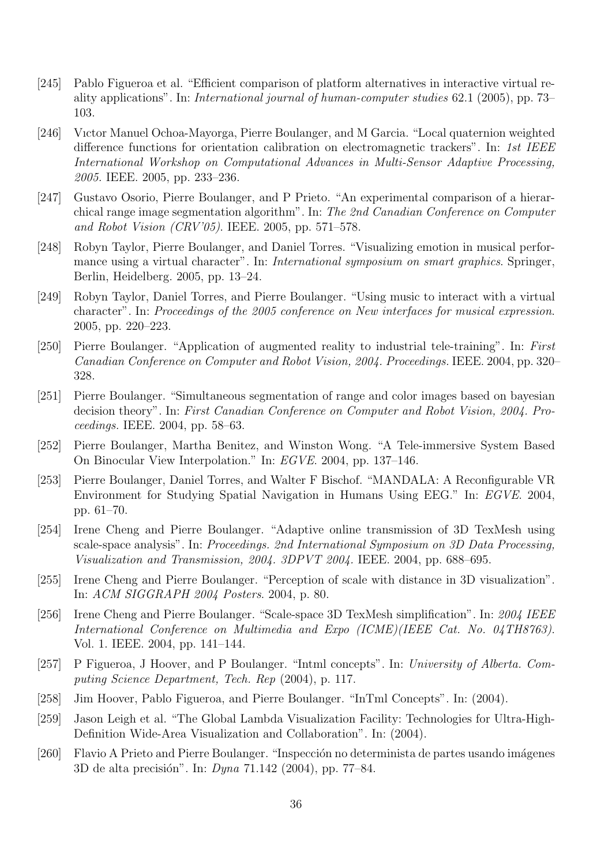- [245] Pablo Figueroa et al. "Efficient comparison of platform alternatives in interactive virtual reality applications". In: International journal of human-computer studies 62.1 (2005), pp. 73– 103.
- [246] Vıctor Manuel Ochoa-Mayorga, Pierre Boulanger, and M Garcia. "Local quaternion weighted difference functions for orientation calibration on electromagnetic trackers". In: 1st IEEE International Workshop on Computational Advances in Multi-Sensor Adaptive Processing, 2005. IEEE. 2005, pp. 233–236.
- [247] Gustavo Osorio, Pierre Boulanger, and P Prieto. "An experimental comparison of a hierarchical range image segmentation algorithm". In: The 2nd Canadian Conference on Computer and Robot Vision (CRV'05). IEEE. 2005, pp. 571–578.
- [248] Robyn Taylor, Pierre Boulanger, and Daniel Torres. "Visualizing emotion in musical performance using a virtual character". In: International symposium on smart graphics. Springer, Berlin, Heidelberg. 2005, pp. 13–24.
- [249] Robyn Taylor, Daniel Torres, and Pierre Boulanger. "Using music to interact with a virtual character". In: Proceedings of the 2005 conference on New interfaces for musical expression. 2005, pp. 220–223.
- [250] Pierre Boulanger. "Application of augmented reality to industrial tele-training". In: First Canadian Conference on Computer and Robot Vision, 2004. Proceedings. IEEE. 2004, pp. 320– 328.
- [251] Pierre Boulanger. "Simultaneous segmentation of range and color images based on bayesian decision theory". In: First Canadian Conference on Computer and Robot Vision, 2004. Proceedings. IEEE. 2004, pp. 58–63.
- [252] Pierre Boulanger, Martha Benitez, and Winston Wong. "A Tele-immersive System Based On Binocular View Interpolation." In: EGVE. 2004, pp. 137–146.
- [253] Pierre Boulanger, Daniel Torres, and Walter F Bischof. "MANDALA: A Reconfigurable VR Environment for Studying Spatial Navigation in Humans Using EEG." In: EGVE. 2004, pp. 61–70.
- [254] Irene Cheng and Pierre Boulanger. "Adaptive online transmission of 3D TexMesh using scale-space analysis". In: Proceedings. 2nd International Symposium on 3D Data Processing, Visualization and Transmission, 2004. 3DPVT 2004. IEEE. 2004, pp. 688–695.
- [255] Irene Cheng and Pierre Boulanger. "Perception of scale with distance in 3D visualization". In: ACM SIGGRAPH 2004 Posters. 2004, p. 80.
- [256] Irene Cheng and Pierre Boulanger. "Scale-space 3D TexMesh simplification". In: 2004 IEEE International Conference on Multimedia and Expo (ICME)(IEEE Cat. No. 04TH8763). Vol. 1. IEEE. 2004, pp. 141–144.
- [257] P Figueroa, J Hoover, and P Boulanger. "Intml concepts". In: University of Alberta. Computing Science Department, Tech. Rep (2004), p. 117.
- [258] Jim Hoover, Pablo Figueroa, and Pierre Boulanger. "InTml Concepts". In: (2004).
- [259] Jason Leigh et al. "The Global Lambda Visualization Facility: Technologies for Ultra-High-Definition Wide-Area Visualization and Collaboration". In: (2004).
- [260] Flavio A Prieto and Pierre Boulanger. "Inspección no determinista de partes usando imágenes 3D de alta precisión". In: *Dyna* 71.142 (2004), pp. 77–84.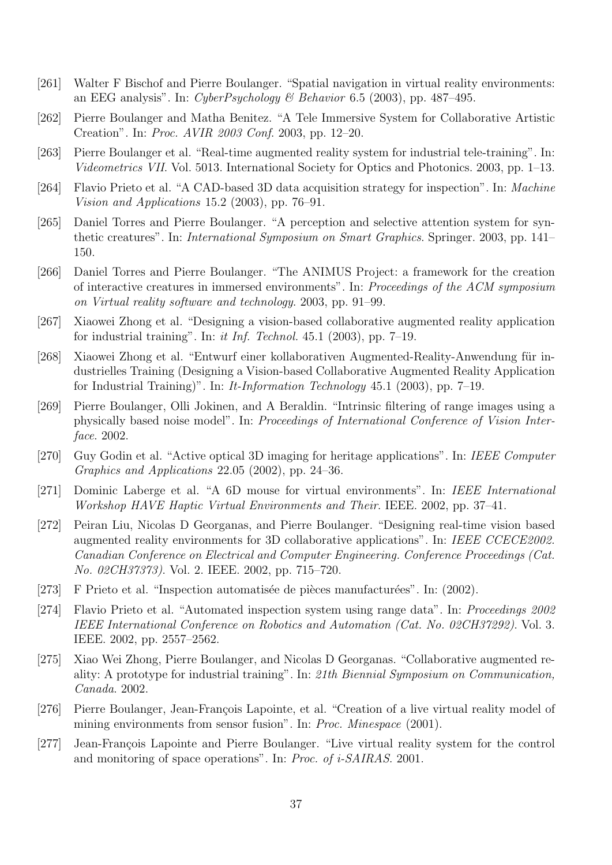- [261] Walter F Bischof and Pierre Boulanger. "Spatial navigation in virtual reality environments: an EEG analysis". In: CyberPsychology & Behavior 6.5 (2003), pp. 487–495.
- [262] Pierre Boulanger and Matha Benitez. "A Tele Immersive System for Collaborative Artistic Creation". In: Proc. AVIR 2003 Conf. 2003, pp. 12–20.
- [263] Pierre Boulanger et al. "Real-time augmented reality system for industrial tele-training". In: Videometrics VII. Vol. 5013. International Society for Optics and Photonics. 2003, pp. 1–13.
- [264] Flavio Prieto et al. "A CAD-based 3D data acquisition strategy for inspection". In: Machine Vision and Applications 15.2 (2003), pp. 76–91.
- [265] Daniel Torres and Pierre Boulanger. "A perception and selective attention system for synthetic creatures". In: International Symposium on Smart Graphics. Springer. 2003, pp. 141– 150.
- [266] Daniel Torres and Pierre Boulanger. "The ANIMUS Project: a framework for the creation of interactive creatures in immersed environments". In: Proceedings of the ACM symposium on Virtual reality software and technology. 2003, pp. 91–99.
- [267] Xiaowei Zhong et al. "Designing a vision-based collaborative augmented reality application for industrial training". In: it Inf. Technol.  $45.1$  (2003), pp. 7–19.
- [268] Xiaowei Zhong et al. "Entwurf einer kollaborativen Augmented-Reality-Anwendung für industrielles Training (Designing a Vision-based Collaborative Augmented Reality Application for Industrial Training)". In: It-Information Technology 45.1 (2003), pp. 7–19.
- [269] Pierre Boulanger, Olli Jokinen, and A Beraldin. "Intrinsic filtering of range images using a physically based noise model". In: Proceedings of International Conference of Vision Interface. 2002.
- [270] Guy Godin et al. "Active optical 3D imaging for heritage applications". In: IEEE Computer Graphics and Applications 22.05 (2002), pp. 24–36.
- [271] Dominic Laberge et al. "A 6D mouse for virtual environments". In: IEEE International Workshop HAVE Haptic Virtual Environments and Their. IEEE. 2002, pp. 37–41.
- [272] Peiran Liu, Nicolas D Georganas, and Pierre Boulanger. "Designing real-time vision based augmented reality environments for 3D collaborative applications". In: IEEE CCECE2002. Canadian Conference on Electrical and Computer Engineering. Conference Proceedings (Cat. No. 02CH37373). Vol. 2. IEEE. 2002, pp. 715–720.
- [273] F Prieto et al. "Inspection automatisée de pièces manufacturées". In: (2002).
- [274] Flavio Prieto et al. "Automated inspection system using range data". In: Proceedings 2002 IEEE International Conference on Robotics and Automation (Cat. No. 02CH37292). Vol. 3. IEEE. 2002, pp. 2557–2562.
- [275] Xiao Wei Zhong, Pierre Boulanger, and Nicolas D Georganas. "Collaborative augmented reality: A prototype for industrial training". In: 21th Biennial Symposium on Communication, Canada. 2002.
- [276] Pierre Boulanger, Jean-François Lapointe, et al. "Creation of a live virtual reality model of mining environments from sensor fusion". In: Proc. Minespace (2001).
- [277] Jean-François Lapointe and Pierre Boulanger. "Live virtual reality system for the control and monitoring of space operations". In: Proc. of i-SAIRAS. 2001.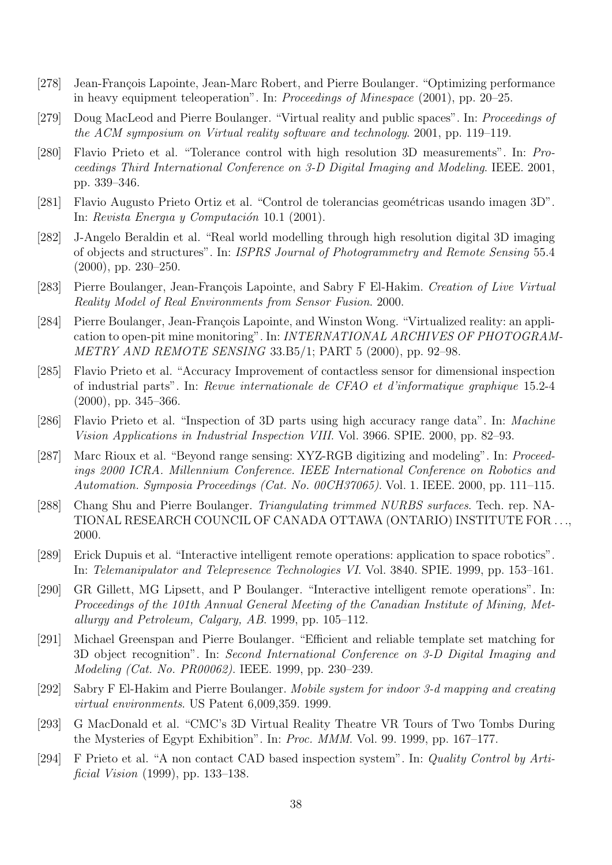- [278] Jean-François Lapointe, Jean-Marc Robert, and Pierre Boulanger. "Optimizing performance in heavy equipment teleoperation". In: Proceedings of Minespace (2001), pp. 20–25.
- [279] Doug MacLeod and Pierre Boulanger. "Virtual reality and public spaces". In: Proceedings of the ACM symposium on Virtual reality software and technology. 2001, pp. 119–119.
- [280] Flavio Prieto et al. "Tolerance control with high resolution 3D measurements". In: Proceedings Third International Conference on 3-D Digital Imaging and Modeling. IEEE. 2001, pp. 339–346.
- [281] Flavio Augusto Prieto Ortiz et al. "Control de tolerancias geométricas usando imagen 3D". In: Revista Energia y Computación 10.1 (2001).
- [282] J-Angelo Beraldin et al. "Real world modelling through high resolution digital 3D imaging of objects and structures". In: ISPRS Journal of Photogrammetry and Remote Sensing 55.4 (2000), pp. 230–250.
- [283] Pierre Boulanger, Jean-François Lapointe, and Sabry F El-Hakim. Creation of Live Virtual Reality Model of Real Environments from Sensor Fusion. 2000.
- [284] Pierre Boulanger, Jean-François Lapointe, and Winston Wong. "Virtualized reality: an application to open-pit mine monitoring". In: INTERNATIONAL ARCHIVES OF PHOTOGRAM-METRY AND REMOTE SENSING 33.B5/1; PART 5 (2000), pp. 92–98.
- [285] Flavio Prieto et al. "Accuracy Improvement of contactless sensor for dimensional inspection of industrial parts". In: Revue internationale de CFAO et d'informatique graphique 15.2-4 (2000), pp. 345–366.
- [286] Flavio Prieto et al. "Inspection of 3D parts using high accuracy range data". In: Machine Vision Applications in Industrial Inspection VIII. Vol. 3966. SPIE. 2000, pp. 82–93.
- [287] Marc Rioux et al. "Beyond range sensing: XYZ-RGB digitizing and modeling". In: Proceedings 2000 ICRA. Millennium Conference. IEEE International Conference on Robotics and Automation. Symposia Proceedings (Cat. No. 00CH37065). Vol. 1. IEEE. 2000, pp. 111–115.
- [288] Chang Shu and Pierre Boulanger. Triangulating trimmed NURBS surfaces. Tech. rep. NA-TIONAL RESEARCH COUNCIL OF CANADA OTTAWA (ONTARIO) INSTITUTE FOR . . ., 2000.
- [289] Erick Dupuis et al. "Interactive intelligent remote operations: application to space robotics". In: Telemanipulator and Telepresence Technologies VI. Vol. 3840. SPIE. 1999, pp. 153–161.
- [290] GR Gillett, MG Lipsett, and P Boulanger. "Interactive intelligent remote operations". In: Proceedings of the 101th Annual General Meeting of the Canadian Institute of Mining, Metallurgy and Petroleum, Calgary, AB. 1999, pp. 105–112.
- [291] Michael Greenspan and Pierre Boulanger. "Efficient and reliable template set matching for 3D object recognition". In: Second International Conference on 3-D Digital Imaging and Modeling (Cat. No. PR00062). IEEE. 1999, pp. 230–239.
- [292] Sabry F El-Hakim and Pierre Boulanger. Mobile system for indoor 3-d mapping and creating virtual environments. US Patent 6,009,359. 1999.
- [293] G MacDonald et al. "CMC's 3D Virtual Reality Theatre VR Tours of Two Tombs During the Mysteries of Egypt Exhibition". In: Proc. MMM. Vol. 99. 1999, pp. 167–177.
- [294] F Prieto et al. "A non contact CAD based inspection system". In: Quality Control by Artificial Vision (1999), pp. 133–138.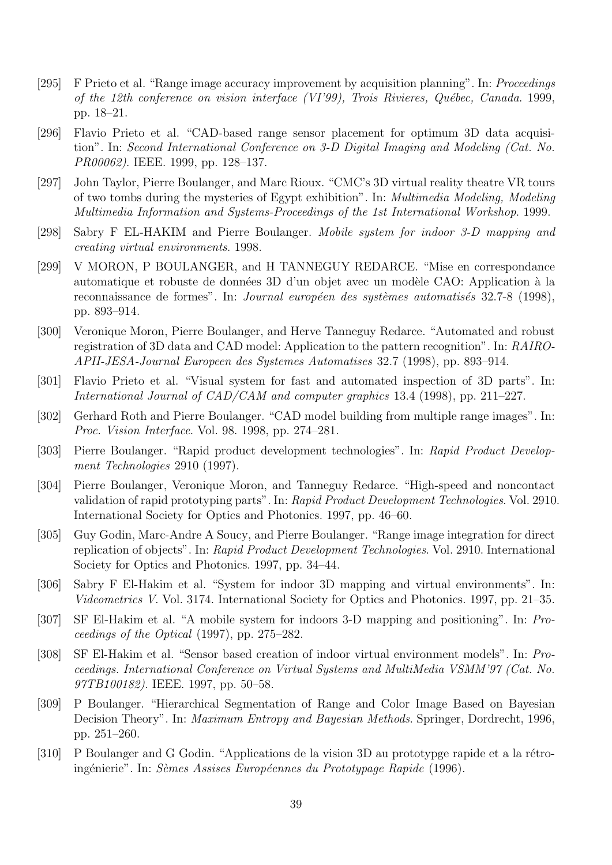- [295] F Prieto et al. "Range image accuracy improvement by acquisition planning". In: Proceedings of the 12th conference on vision interface (VI'99), Trois Rivieres, Québec, Canada. 1999, pp. 18–21.
- [296] Flavio Prieto et al. "CAD-based range sensor placement for optimum 3D data acquisition". In: Second International Conference on 3-D Digital Imaging and Modeling (Cat. No. PR00062). IEEE. 1999, pp. 128–137.
- [297] John Taylor, Pierre Boulanger, and Marc Rioux. "CMC's 3D virtual reality theatre VR tours of two tombs during the mysteries of Egypt exhibition". In: Multimedia Modeling, Modeling Multimedia Information and Systems-Proceedings of the 1st International Workshop. 1999.
- [298] Sabry F EL-HAKIM and Pierre Boulanger. Mobile system for indoor 3-D mapping and creating virtual environments. 1998.
- [299] V MORON, P BOULANGER, and H TANNEGUY REDARCE. "Mise en correspondance automatique et robuste de données 3D d'un objet avec un modèle CAO: Application à la reconnaissance de formes". In: Journal européen des systèmes automatisés 32.7-8 (1998), pp. 893–914.
- [300] Veronique Moron, Pierre Boulanger, and Herve Tanneguy Redarce. "Automated and robust registration of 3D data and CAD model: Application to the pattern recognition". In: RAIRO-APII-JESA-Journal Europeen des Systemes Automatises 32.7 (1998), pp. 893–914.
- [301] Flavio Prieto et al. "Visual system for fast and automated inspection of 3D parts". In: International Journal of CAD/CAM and computer graphics 13.4 (1998), pp. 211–227.
- [302] Gerhard Roth and Pierre Boulanger. "CAD model building from multiple range images". In: Proc. Vision Interface. Vol. 98. 1998, pp. 274–281.
- [303] Pierre Boulanger. "Rapid product development technologies". In: Rapid Product Development Technologies 2910 (1997).
- [304] Pierre Boulanger, Veronique Moron, and Tanneguy Redarce. "High-speed and noncontact validation of rapid prototyping parts". In: Rapid Product Development Technologies. Vol. 2910. International Society for Optics and Photonics. 1997, pp. 46–60.
- [305] Guy Godin, Marc-Andre A Soucy, and Pierre Boulanger. "Range image integration for direct replication of objects". In: Rapid Product Development Technologies. Vol. 2910. International Society for Optics and Photonics. 1997, pp. 34–44.
- [306] Sabry F El-Hakim et al. "System for indoor 3D mapping and virtual environments". In: Videometrics V. Vol. 3174. International Society for Optics and Photonics. 1997, pp. 21–35.
- [307] SF El-Hakim et al. "A mobile system for indoors 3-D mapping and positioning". In: Proceedings of the Optical (1997), pp. 275–282.
- [308] SF El-Hakim et al. "Sensor based creation of indoor virtual environment models". In: Proceedings. International Conference on Virtual Systems and MultiMedia VSMM'97 (Cat. No. 97TB100182). IEEE. 1997, pp. 50–58.
- [309] P Boulanger. "Hierarchical Segmentation of Range and Color Image Based on Bayesian Decision Theory". In: Maximum Entropy and Bayesian Methods. Springer, Dordrecht, 1996, pp. 251–260.
- [310] P Boulanger and G Godin. "Applications de la vision 3D au prototypge rapide et a la rétroingénierie". In: Sèmes Assises Européennes du Prototypage Rapide (1996).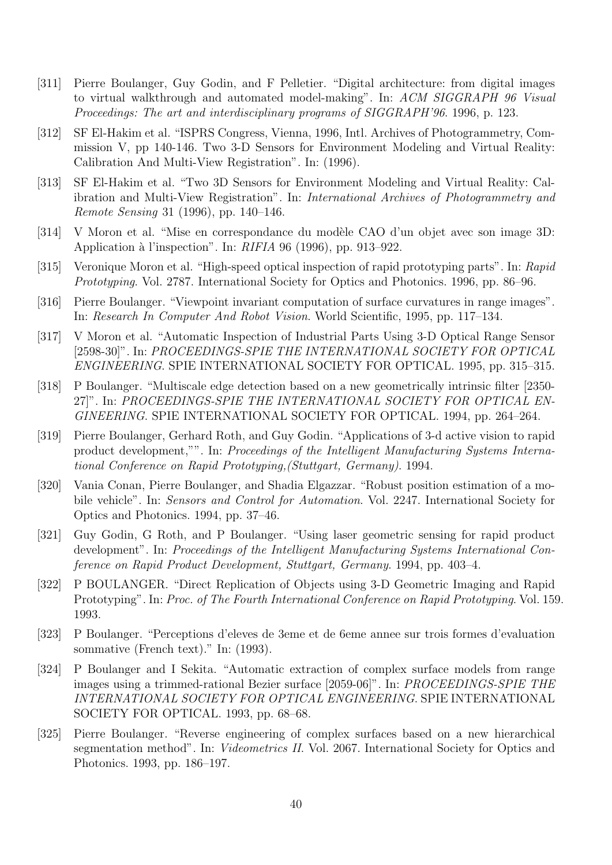- [311] Pierre Boulanger, Guy Godin, and F Pelletier. "Digital architecture: from digital images to virtual walkthrough and automated model-making". In: ACM SIGGRAPH 96 Visual Proceedings: The art and interdisciplinary programs of SIGGRAPH'96. 1996, p. 123.
- [312] SF El-Hakim et al. "ISPRS Congress, Vienna, 1996, Intl. Archives of Photogrammetry, Commission V, pp 140-146. Two 3-D Sensors for Environment Modeling and Virtual Reality: Calibration And Multi-View Registration". In: (1996).
- [313] SF El-Hakim et al. "Two 3D Sensors for Environment Modeling and Virtual Reality: Calibration and Multi-View Registration". In: International Archives of Photogrammetry and Remote Sensing 31 (1996), pp. 140–146.
- [314] V Moron et al. "Mise en correspondance du modèle CAO d'un objet avec son image 3D: Application `a l'inspection". In: RIFIA 96 (1996), pp. 913–922.
- [315] Veronique Moron et al. "High-speed optical inspection of rapid prototyping parts". In: Rapid Prototyping. Vol. 2787. International Society for Optics and Photonics. 1996, pp. 86–96.
- [316] Pierre Boulanger. "Viewpoint invariant computation of surface curvatures in range images". In: Research In Computer And Robot Vision. World Scientific, 1995, pp. 117–134.
- [317] V Moron et al. "Automatic Inspection of Industrial Parts Using 3-D Optical Range Sensor [2598-30]". In: PROCEEDINGS-SPIE THE INTERNATIONAL SOCIETY FOR OPTICAL ENGINEERING. SPIE INTERNATIONAL SOCIETY FOR OPTICAL. 1995, pp. 315–315.
- [318] P Boulanger. "Multiscale edge detection based on a new geometrically intrinsic filter [2350- 27]". In: PROCEEDINGS-SPIE THE INTERNATIONAL SOCIETY FOR OPTICAL EN-GINEERING. SPIE INTERNATIONAL SOCIETY FOR OPTICAL. 1994, pp. 264–264.
- [319] Pierre Boulanger, Gerhard Roth, and Guy Godin. "Applications of 3-d active vision to rapid product development,"". In: Proceedings of the Intelligent Manufacturing Systems International Conference on Rapid Prototyping,(Stuttgart, Germany). 1994.
- [320] Vania Conan, Pierre Boulanger, and Shadia Elgazzar. "Robust position estimation of a mobile vehicle". In: Sensors and Control for Automation. Vol. 2247. International Society for Optics and Photonics. 1994, pp. 37–46.
- [321] Guy Godin, G Roth, and P Boulanger. "Using laser geometric sensing for rapid product development". In: Proceedings of the Intelligent Manufacturing Systems International Conference on Rapid Product Development, Stuttgart, Germany. 1994, pp. 403–4.
- [322] P BOULANGER. "Direct Replication of Objects using 3-D Geometric Imaging and Rapid Prototyping". In: Proc. of The Fourth International Conference on Rapid Prototyping. Vol. 159. 1993.
- [323] P Boulanger. "Perceptions d'eleves de 3eme et de 6eme annee sur trois formes d'evaluation sommative (French text)." In: (1993).
- [324] P Boulanger and I Sekita. "Automatic extraction of complex surface models from range images using a trimmed-rational Bezier surface [2059-06]". In: PROCEEDINGS-SPIE THE INTERNATIONAL SOCIETY FOR OPTICAL ENGINEERING. SPIE INTERNATIONAL SOCIETY FOR OPTICAL. 1993, pp. 68–68.
- [325] Pierre Boulanger. "Reverse engineering of complex surfaces based on a new hierarchical segmentation method". In: Videometrics II. Vol. 2067. International Society for Optics and Photonics. 1993, pp. 186–197.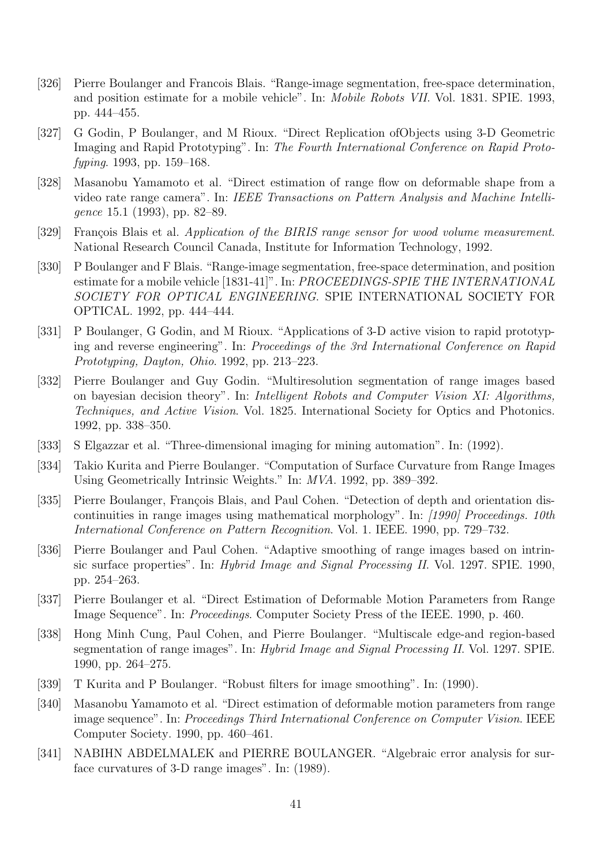- [326] Pierre Boulanger and Francois Blais. "Range-image segmentation, free-space determination, and position estimate for a mobile vehicle". In: Mobile Robots VII. Vol. 1831. SPIE. 1993, pp. 444–455.
- [327] G Godin, P Boulanger, and M Rioux. "Direct Replication ofObjects using 3-D Geometric Imaging and Rapid Prototyping". In: The Fourth International Conference on Rapid Protofyping. 1993, pp. 159–168.
- [328] Masanobu Yamamoto et al. "Direct estimation of range flow on deformable shape from a video rate range camera". In: IEEE Transactions on Pattern Analysis and Machine Intelligence 15.1 (1993), pp. 82–89.
- [329] François Blais et al. Application of the BIRIS range sensor for wood volume measurement. National Research Council Canada, Institute for Information Technology, 1992.
- [330] P Boulanger and F Blais. "Range-image segmentation, free-space determination, and position estimate for a mobile vehicle [1831-41]". In: PROCEEDINGS-SPIE THE INTERNATIONAL SOCIETY FOR OPTICAL ENGINEERING. SPIE INTERNATIONAL SOCIETY FOR OPTICAL. 1992, pp. 444–444.
- [331] P Boulanger, G Godin, and M Rioux. "Applications of 3-D active vision to rapid prototyping and reverse engineering". In: Proceedings of the 3rd International Conference on Rapid Prototyping, Dayton, Ohio. 1992, pp. 213–223.
- [332] Pierre Boulanger and Guy Godin. "Multiresolution segmentation of range images based on bayesian decision theory". In: Intelligent Robots and Computer Vision XI: Algorithms, Techniques, and Active Vision. Vol. 1825. International Society for Optics and Photonics. 1992, pp. 338–350.
- [333] S Elgazzar et al. "Three-dimensional imaging for mining automation". In: (1992).
- [334] Takio Kurita and Pierre Boulanger. "Computation of Surface Curvature from Range Images Using Geometrically Intrinsic Weights." In: MVA. 1992, pp. 389–392.
- [335] Pierre Boulanger, François Blais, and Paul Cohen. "Detection of depth and orientation discontinuities in range images using mathematical morphology". In: [1990] Proceedings. 10th International Conference on Pattern Recognition. Vol. 1. IEEE. 1990, pp. 729–732.
- [336] Pierre Boulanger and Paul Cohen. "Adaptive smoothing of range images based on intrinsic surface properties". In: Hybrid Image and Signal Processing II. Vol. 1297. SPIE. 1990, pp. 254–263.
- [337] Pierre Boulanger et al. "Direct Estimation of Deformable Motion Parameters from Range Image Sequence". In: Proceedings. Computer Society Press of the IEEE. 1990, p. 460.
- [338] Hong Minh Cung, Paul Cohen, and Pierre Boulanger. "Multiscale edge-and region-based segmentation of range images". In: Hybrid Image and Signal Processing II. Vol. 1297. SPIE. 1990, pp. 264–275.
- [339] T Kurita and P Boulanger. "Robust filters for image smoothing". In: (1990).
- [340] Masanobu Yamamoto et al. "Direct estimation of deformable motion parameters from range image sequence". In: Proceedings Third International Conference on Computer Vision. IEEE Computer Society. 1990, pp. 460–461.
- [341] NABIHN ABDELMALEK and PIERRE BOULANGER. "Algebraic error analysis for surface curvatures of 3-D range images". In: (1989).